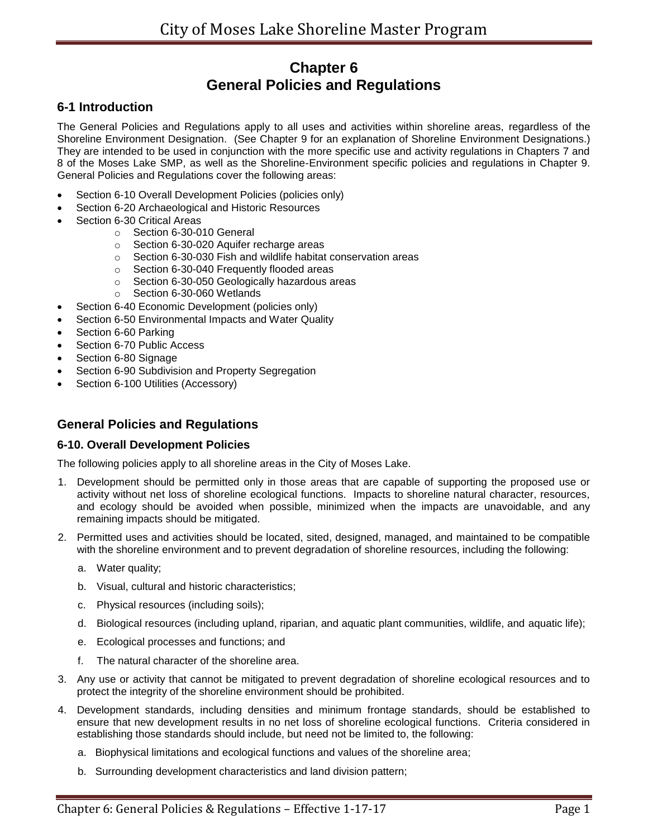# **Chapter 6 General Policies and Regulations**

# **6-1 Introduction**

The General Policies and Regulations apply to all uses and activities within shoreline areas, regardless of the Shoreline Environment Designation. (See Chapter 9 for an explanation of Shoreline Environment Designations.) They are intended to be used in conjunction with the more specific use and activity regulations in Chapters 7 and 8 of the Moses Lake SMP, as well as the Shoreline-Environment specific policies and regulations in Chapter 9. General Policies and Regulations cover the following areas:

- Section 6-10 Overall Development Policies (policies only)
- Section 6-20 Archaeological and Historic Resources
- Section 6-30 Critical Areas
	- o Section 6-30-010 General
	- o Section 6-30-020 Aquifer recharge areas
	- o Section 6-30-030 Fish and wildlife habitat conservation areas
	- o Section 6-30-040 Frequently flooded areas
	- o Section 6-30-050 Geologically hazardous areas
	- o Section 6-30-060 Wetlands
- Section 6-40 Economic Development (policies only)
- Section 6-50 Environmental Impacts and Water Quality
- Section 6-60 Parking
- Section 6-70 Public Access
- Section 6-80 Signage
- Section 6-90 Subdivision and Property Segregation
- Section 6-100 Utilities (Accessory)

# **General Policies and Regulations**

# **6-10. Overall Development Policies**

The following policies apply to all shoreline areas in the City of Moses Lake.

- 1. Development should be permitted only in those areas that are capable of supporting the proposed use or activity without net loss of shoreline ecological functions. Impacts to shoreline natural character, resources, and ecology should be avoided when possible, minimized when the impacts are unavoidable, and any remaining impacts should be mitigated.
- 2. Permitted uses and activities should be located, sited, designed, managed, and maintained to be compatible with the shoreline environment and to prevent degradation of shoreline resources, including the following:
	- a. Water quality;
	- b. Visual, cultural and historic characteristics;
	- c. Physical resources (including soils);
	- d. Biological resources (including upland, riparian, and aquatic plant communities, wildlife, and aquatic life);
	- e. Ecological processes and functions; and
	- f. The natural character of the shoreline area.
- 3. Any use or activity that cannot be mitigated to prevent degradation of shoreline ecological resources and to protect the integrity of the shoreline environment should be prohibited.
- 4. Development standards, including densities and minimum frontage standards, should be established to ensure that new development results in no net loss of shoreline ecological functions. Criteria considered in establishing those standards should include, but need not be limited to, the following:
	- a. Biophysical limitations and ecological functions and values of the shoreline area;
	- b. Surrounding development characteristics and land division pattern;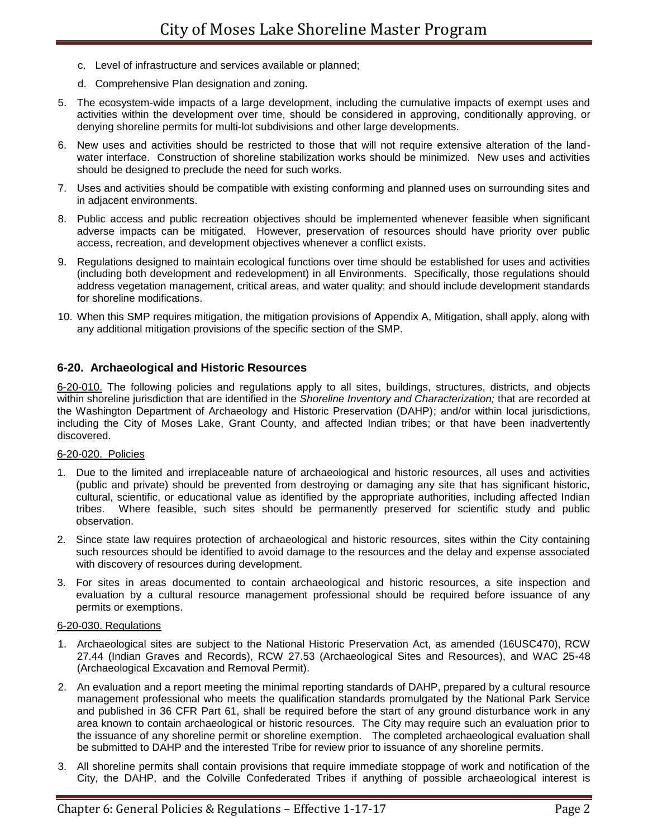- c. Level of infrastructure and services available or planned;
- d. Comprehensive Plan designation and zoning.
- 5. The ecosystem-wide impacts of a large development, including the cumulative impacts of exempt uses and activities within the development over time, should be considered in approving, conditionally approving, or denying shoreline permits for multi-lot subdivisions and other large developments.
- 6. New uses and activities should be restricted to those that will not require extensive alteration of the landwater interface. Construction of shoreline stabilization works should be minimized. New uses and activities should be designed to preclude the need for such works.
- 7. Uses and activities should be compatible with existing conforming and planned uses on surrounding sites and in adjacent environments.
- 8. Public access and public recreation objectives should be implemented whenever feasible when significant adverse impacts can be mitigated. However, preservation of resources should have priority over public access, recreation, and development objectives whenever a conflict exists.
- 9. Regulations designed to maintain ecological functions over time should be established for uses and activities (including both development and redevelopment) in all Environments. Specifically, those regulations should address vegetation management, critical areas, and water quality; and should include development standards for shoreline modifications.
- 10. When this SMP requires mitigation, the mitigation provisions of Appendix A, Mitigation, shall apply, along with any additional mitigation provisions of the specific section of the SMP.

# **6-20. Archaeological and Historic Resources**

6-20-010. The following policies and regulations apply to all sites, buildings, structures, districts, and objects within shoreline jurisdiction that are identified in the *Shoreline Inventory and Characterization;* that are recorded at the Washington Department of Archaeology and Historic Preservation (DAHP); and/or within local jurisdictions, including the City of Moses Lake, Grant County, and affected Indian tribes; or that have been inadvertently discovered.

# 6-20-020. Policies

- 1. Due to the limited and irreplaceable nature of archaeological and historic resources, all uses and activities (public and private) should be prevented from destroying or damaging any site that has significant historic, cultural, scientific, or educational value as identified by the appropriate authorities, including affected Indian tribes. Where feasible, such sites should be permanently preserved for scientific study and public observation.
- 2. Since state law requires protection of archaeological and historic resources, sites within the City containing such resources should be identified to avoid damage to the resources and the delay and expense associated with discovery of resources during development.
- 3. For sites in areas documented to contain archaeological and historic resources, a site inspection and evaluation by a cultural resource management professional should be required before issuance of any permits or exemptions.

# 6-20-030. Regulations

- 1. Archaeological sites are subject to the National Historic Preservation Act, as amended (16USC470), RCW 27.44 (Indian Graves and Records), RCW 27.53 (Archaeological Sites and Resources), and WAC 25-48 (Archaeological Excavation and Removal Permit).
- 2. An evaluation and a report meeting the minimal reporting standards of DAHP, prepared by a cultural resource management professional who meets the qualification standards promulgated by the National Park Service and published in 36 CFR Part 61, shall be required before the start of any ground disturbance work in any area known to contain archaeological or historic resources. The City may require such an evaluation prior to the issuance of any shoreline permit or shoreline exemption. The completed archaeological evaluation shall be submitted to DAHP and the interested Tribe for review prior to issuance of any shoreline permits.
- 3. All shoreline permits shall contain provisions that require immediate stoppage of work and notification of the City, the DAHP, and the Colville Confederated Tribes if anything of possible archaeological interest is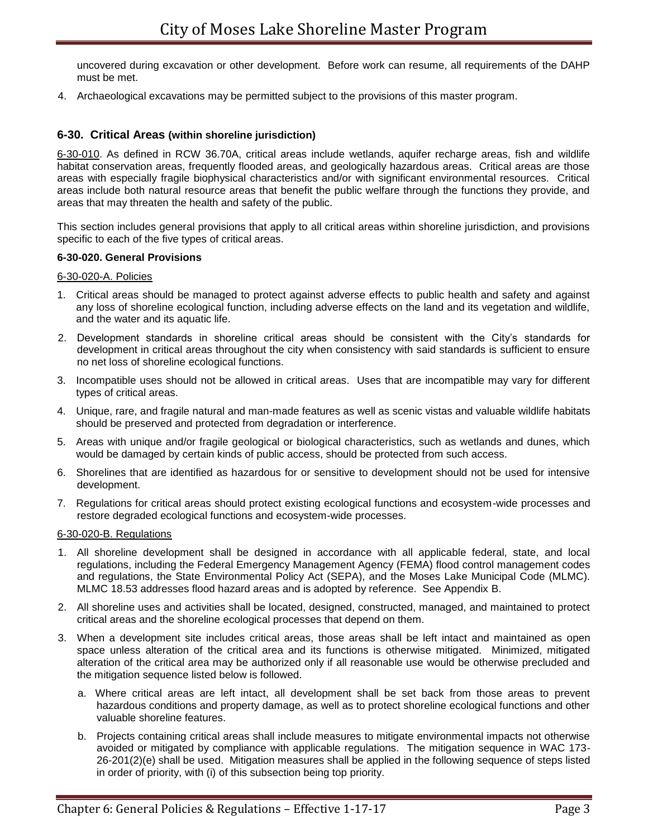uncovered during excavation or other development. Before work can resume, all requirements of the DAHP must be met.

4. Archaeological excavations may be permitted subject to the provisions of this master program.

# **6-30. Critical Areas (within shoreline jurisdiction)**

6-30-010. As defined in RCW 36.70A, critical areas include wetlands, aquifer recharge areas, fish and wildlife habitat conservation areas, frequently flooded areas, and geologically hazardous areas. Critical areas are those areas with especially fragile biophysical characteristics and/or with significant environmental resources. Critical areas include both natural resource areas that benefit the public welfare through the functions they provide, and areas that may threaten the health and safety of the public.

This section includes general provisions that apply to all critical areas within shoreline jurisdiction, and provisions specific to each of the five types of critical areas.

#### **6-30-020. General Provisions**

#### 6-30-020-A. Policies

- 1. Critical areas should be managed to protect against adverse effects to public health and safety and against any loss of shoreline ecological function, including adverse effects on the land and its vegetation and wildlife, and the water and its aquatic life.
- 2. Development standards in shoreline critical areas should be consistent with the City's standards for development in critical areas throughout the city when consistency with said standards is sufficient to ensure no net loss of shoreline ecological functions.
- 3. Incompatible uses should not be allowed in critical areas. Uses that are incompatible may vary for different types of critical areas.
- 4. Unique, rare, and fragile natural and man-made features as well as scenic vistas and valuable wildlife habitats should be preserved and protected from degradation or interference.
- 5. Areas with unique and/or fragile geological or biological characteristics, such as wetlands and dunes, which would be damaged by certain kinds of public access, should be protected from such access.
- 6. Shorelines that are identified as hazardous for or sensitive to development should not be used for intensive development.
- 7. Regulations for critical areas should protect existing ecological functions and ecosystem-wide processes and restore degraded ecological functions and ecosystem-wide processes.

#### 6-30-020-B. Regulations

- 1. All shoreline development shall be designed in accordance with all applicable federal, state, and local regulations, including the Federal Emergency Management Agency (FEMA) flood control management codes and regulations, the State Environmental Policy Act (SEPA), and the Moses Lake Municipal Code (MLMC). MLMC 18.53 addresses flood hazard areas and is adopted by reference. See Appendix B.
- 2. All shoreline uses and activities shall be located, designed, constructed, managed, and maintained to protect critical areas and the shoreline ecological processes that depend on them.
- 3. When a development site includes critical areas, those areas shall be left intact and maintained as open space unless alteration of the critical area and its functions is otherwise mitigated. Minimized, mitigated alteration of the critical area may be authorized only if all reasonable use would be otherwise precluded and the mitigation sequence listed below is followed.
	- a. Where critical areas are left intact, all development shall be set back from those areas to prevent hazardous conditions and property damage, as well as to protect shoreline ecological functions and other valuable shoreline features.
	- b. Projects containing critical areas shall include measures to mitigate environmental impacts not otherwise avoided or mitigated by compliance with applicable regulations. The mitigation sequence in WAC 173- 26-201(2)(e) shall be used. Mitigation measures shall be applied in the following sequence of steps listed in order of priority, with (i) of this subsection being top priority.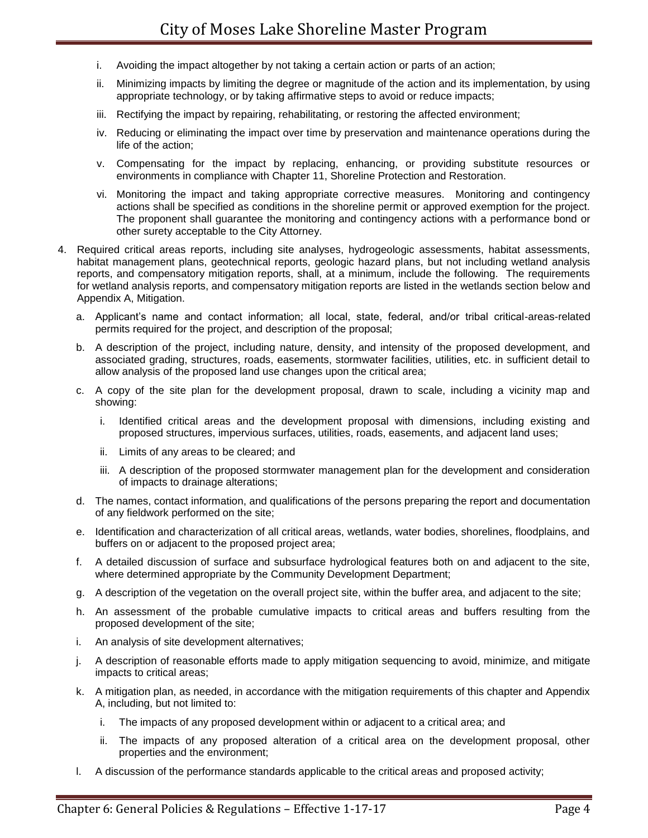- i. Avoiding the impact altogether by not taking a certain action or parts of an action;
- ii. Minimizing impacts by limiting the degree or magnitude of the action and its implementation, by using appropriate technology, or by taking affirmative steps to avoid or reduce impacts;
- iii. Rectifying the impact by repairing, rehabilitating, or restoring the affected environment;
- iv. Reducing or eliminating the impact over time by preservation and maintenance operations during the life of the action;
- v. Compensating for the impact by replacing, enhancing, or providing substitute resources or environments in compliance with Chapter 11, Shoreline Protection and Restoration.
- vi. Monitoring the impact and taking appropriate corrective measures. Monitoring and contingency actions shall be specified as conditions in the shoreline permit or approved exemption for the project. The proponent shall guarantee the monitoring and contingency actions with a performance bond or other surety acceptable to the City Attorney.
- 4. Required critical areas reports, including site analyses, hydrogeologic assessments, habitat assessments, habitat management plans, geotechnical reports, geologic hazard plans, but not including wetland analysis reports, and compensatory mitigation reports, shall, at a minimum, include the following. The requirements for wetland analysis reports, and compensatory mitigation reports are listed in the wetlands section below and Appendix A, Mitigation.
	- a. Applicant's name and contact information; all local, state, federal, and/or tribal critical-areas-related permits required for the project, and description of the proposal;
	- b. A description of the project, including nature, density, and intensity of the proposed development, and associated grading, structures, roads, easements, stormwater facilities, utilities, etc. in sufficient detail to allow analysis of the proposed land use changes upon the critical area;
	- c. A copy of the site plan for the development proposal, drawn to scale, including a vicinity map and showing:
		- i. Identified critical areas and the development proposal with dimensions, including existing and proposed structures, impervious surfaces, utilities, roads, easements, and adjacent land uses;
		- ii. Limits of any areas to be cleared; and
		- iii. A description of the proposed stormwater management plan for the development and consideration of impacts to drainage alterations;
	- d. The names, contact information, and qualifications of the persons preparing the report and documentation of any fieldwork performed on the site;
	- e. Identification and characterization of all critical areas, wetlands, water bodies, shorelines, floodplains, and buffers on or adjacent to the proposed project area;
	- f. A detailed discussion of surface and subsurface hydrological features both on and adjacent to the site, where determined appropriate by the Community Development Department;
	- g. A description of the vegetation on the overall project site, within the buffer area, and adjacent to the site;
	- h. An assessment of the probable cumulative impacts to critical areas and buffers resulting from the proposed development of the site;
	- i. An analysis of site development alternatives;
	- j. A description of reasonable efforts made to apply mitigation sequencing to avoid, minimize, and mitigate impacts to critical areas;
	- k. A mitigation plan, as needed, in accordance with the mitigation requirements of this chapter and Appendix A, including, but not limited to:
		- i. The impacts of any proposed development within or adjacent to a critical area; and
		- ii. The impacts of any proposed alteration of a critical area on the development proposal, other properties and the environment;
	- l. A discussion of the performance standards applicable to the critical areas and proposed activity;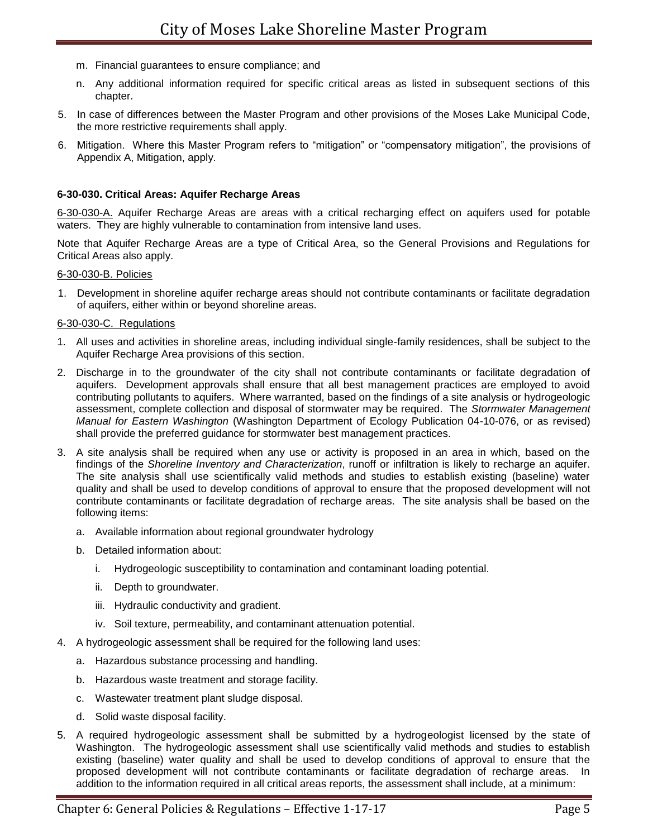- m. Financial guarantees to ensure compliance; and
- n. Any additional information required for specific critical areas as listed in subsequent sections of this chapter.
- 5. In case of differences between the Master Program and other provisions of the Moses Lake Municipal Code, the more restrictive requirements shall apply.
- 6. Mitigation. Where this Master Program refers to "mitigation" or "compensatory mitigation", the provisions of Appendix A, Mitigation, apply.

### **6-30-030. Critical Areas: Aquifer Recharge Areas**

6-30-030-A. Aquifer Recharge Areas are areas with a critical recharging effect on aquifers used for potable waters.They are highly vulnerable to contamination from intensive land uses.

Note that Aquifer Recharge Areas are a type of Critical Area, so the General Provisions and Regulations for Critical Areas also apply.

#### 6-30-030-B. Policies

1. Development in shoreline aquifer recharge areas should not contribute contaminants or facilitate degradation of aquifers, either within or beyond shoreline areas.

#### 6-30-030-C. Regulations

- 1. All uses and activities in shoreline areas, including individual single-family residences, shall be subject to the Aquifer Recharge Area provisions of this section.
- 2. Discharge in to the groundwater of the city shall not contribute contaminants or facilitate degradation of aquifers. Development approvals shall ensure that all best management practices are employed to avoid contributing pollutants to aquifers. Where warranted, based on the findings of a site analysis or hydrogeologic assessment, complete collection and disposal of stormwater may be required. The *Stormwater Management Manual for Eastern Washington* (Washington Department of Ecology Publication 04-10-076, or as revised) shall provide the preferred guidance for stormwater best management practices.
- 3. A site analysis shall be required when any use or activity is proposed in an area in which, based on the findings of the *Shoreline Inventory and Characterization*, runoff or infiltration is likely to recharge an aquifer. The site analysis shall use scientifically valid methods and studies to establish existing (baseline) water quality and shall be used to develop conditions of approval to ensure that the proposed development will not contribute contaminants or facilitate degradation of recharge areas. The site analysis shall be based on the following items:
	- a. Available information about regional groundwater hydrology
	- b. Detailed information about:
		- i. Hydrogeologic susceptibility to contamination and contaminant loading potential.
		- ii. Depth to groundwater.
		- iii. Hydraulic conductivity and gradient.
		- iv. Soil texture, permeability, and contaminant attenuation potential.
- 4. A hydrogeologic assessment shall be required for the following land uses:
	- a. Hazardous substance processing and handling.
	- b. Hazardous waste treatment and storage facility.
	- c. Wastewater treatment plant sludge disposal.
	- d. Solid waste disposal facility.
- 5. A required hydrogeologic assessment shall be submitted by a hydrogeologist licensed by the state of Washington. The hydrogeologic assessment shall use scientifically valid methods and studies to establish existing (baseline) water quality and shall be used to develop conditions of approval to ensure that the proposed development will not contribute contaminants or facilitate degradation of recharge areas. In addition to the information required in all critical areas reports, the assessment shall include, at a minimum: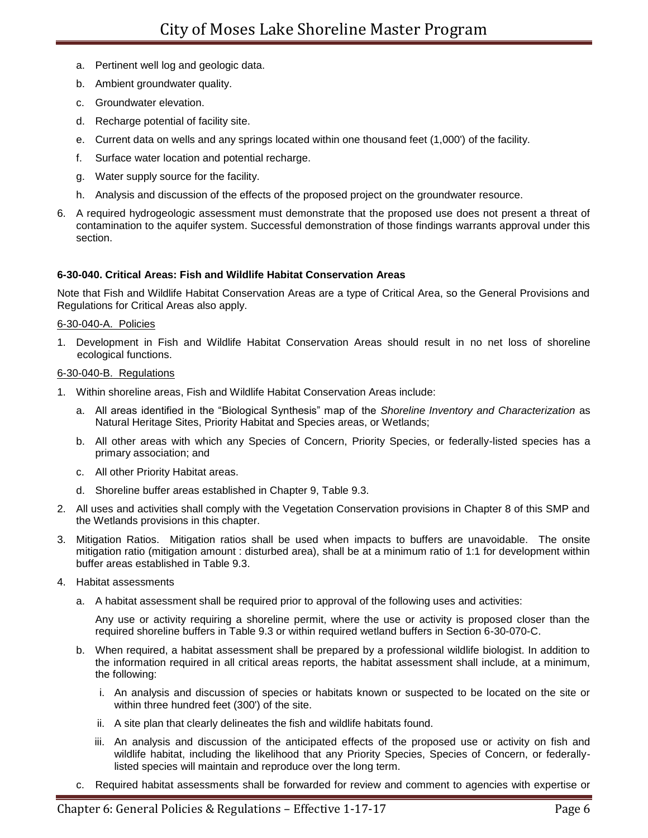- a. Pertinent well log and geologic data.
- b. Ambient groundwater quality.
- c. Groundwater elevation.
- d. Recharge potential of facility site.
- e. Current data on wells and any springs located within one thousand feet (1,000') of the facility.
- f. Surface water location and potential recharge.
- g. Water supply source for the facility.
- h. Analysis and discussion of the effects of the proposed project on the groundwater resource.
- 6. A required hydrogeologic assessment must demonstrate that the proposed use does not present a threat of contamination to the aquifer system. Successful demonstration of those findings warrants approval under this section.

# **6-30-040. Critical Areas: Fish and Wildlife Habitat Conservation Areas**

Note that Fish and Wildlife Habitat Conservation Areas are a type of Critical Area, so the General Provisions and Regulations for Critical Areas also apply.

### 6-30-040-A. Policies

1. Development in Fish and Wildlife Habitat Conservation Areas should result in no net loss of shoreline ecological functions.

# 6-30-040-B. Regulations

- 1. Within shoreline areas, Fish and Wildlife Habitat Conservation Areas include:
	- a. All areas identified in the "Biological Synthesis" map of the *Shoreline Inventory and Characterization* as Natural Heritage Sites, Priority Habitat and Species areas, or Wetlands;
	- b. All other areas with which any Species of Concern, Priority Species, or federally-listed species has a primary association; and
	- c. All other Priority Habitat areas.
	- d. Shoreline buffer areas established in Chapter 9, Table 9.3.
- 2. All uses and activities shall comply with the Vegetation Conservation provisions in Chapter 8 of this SMP and the Wetlands provisions in this chapter.
- 3. Mitigation Ratios. Mitigation ratios shall be used when impacts to buffers are unavoidable. The onsite mitigation ratio (mitigation amount : disturbed area), shall be at a minimum ratio of 1:1 for development within buffer areas established in Table 9.3.
- 4. Habitat assessments
	- a. A habitat assessment shall be required prior to approval of the following uses and activities:

Any use or activity requiring a shoreline permit, where the use or activity is proposed closer than the required shoreline buffers in Table 9.3 or within required wetland buffers in Section 6-30-070-C.

- b. When required, a habitat assessment shall be prepared by a professional wildlife biologist. In addition to the information required in all critical areas reports, the habitat assessment shall include, at a minimum, the following:
	- i. An analysis and discussion of species or habitats known or suspected to be located on the site or within three hundred feet (300') of the site.
	- ii. A site plan that clearly delineates the fish and wildlife habitats found.
	- iii. An analysis and discussion of the anticipated effects of the proposed use or activity on fish and wildlife habitat, including the likelihood that any Priority Species, Species of Concern, or federallylisted species will maintain and reproduce over the long term.
- c. Required habitat assessments shall be forwarded for review and comment to agencies with expertise or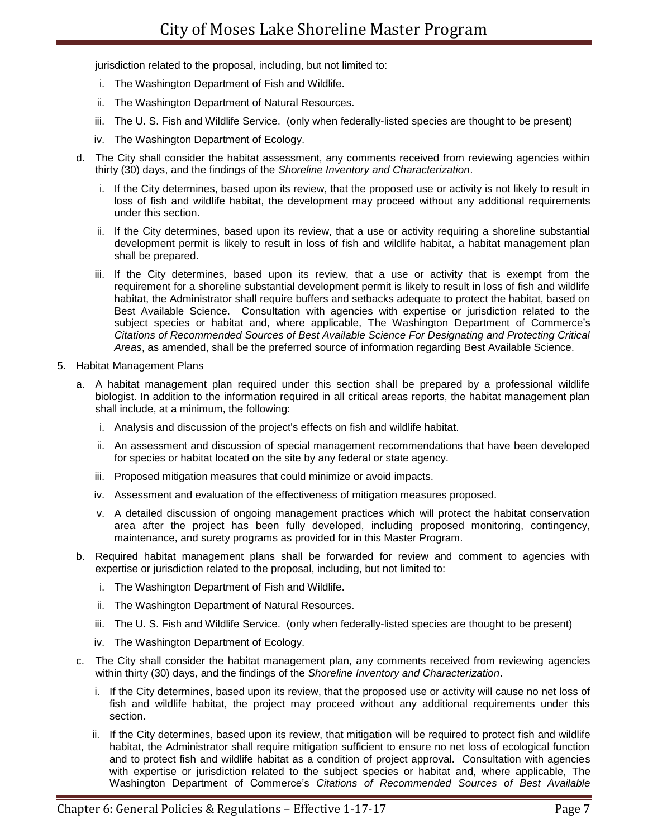jurisdiction related to the proposal, including, but not limited to:

- i. The Washington Department of Fish and Wildlife.
- ii. The Washington Department of Natural Resources.
- iii. The U. S. Fish and Wildlife Service. (only when federally-listed species are thought to be present)
- iv. The Washington Department of Ecology.
- d. The City shall consider the habitat assessment, any comments received from reviewing agencies within thirty (30) days, and the findings of the *Shoreline Inventory and Characterization*.
	- i. If the City determines, based upon its review, that the proposed use or activity is not likely to result in loss of fish and wildlife habitat, the development may proceed without any additional requirements under this section.
	- ii. If the City determines, based upon its review, that a use or activity requiring a shoreline substantial development permit is likely to result in loss of fish and wildlife habitat, a habitat management plan shall be prepared.
	- iii. If the City determines, based upon its review, that a use or activity that is exempt from the requirement for a shoreline substantial development permit is likely to result in loss of fish and wildlife habitat, the Administrator shall require buffers and setbacks adequate to protect the habitat, based on Best Available Science. Consultation with agencies with expertise or jurisdiction related to the subject species or habitat and, where applicable, The Washington Department of Commerce's *Citations of Recommended Sources of Best Available Science For Designating and Protecting Critical Areas*, as amended, shall be the preferred source of information regarding Best Available Science.
- 5. Habitat Management Plans
	- a. A habitat management plan required under this section shall be prepared by a professional wildlife biologist. In addition to the information required in all critical areas reports, the habitat management plan shall include, at a minimum, the following:
		- i. Analysis and discussion of the project's effects on fish and wildlife habitat.
		- ii. An assessment and discussion of special management recommendations that have been developed for species or habitat located on the site by any federal or state agency.
		- iii. Proposed mitigation measures that could minimize or avoid impacts.
		- iv. Assessment and evaluation of the effectiveness of mitigation measures proposed.
		- v. A detailed discussion of ongoing management practices which will protect the habitat conservation area after the project has been fully developed, including proposed monitoring, contingency, maintenance, and surety programs as provided for in this Master Program.
	- b. Required habitat management plans shall be forwarded for review and comment to agencies with expertise or jurisdiction related to the proposal, including, but not limited to:
		- i. The Washington Department of Fish and Wildlife.
		- ii. The Washington Department of Natural Resources.
		- iii. The U. S. Fish and Wildlife Service. (only when federally-listed species are thought to be present)
		- iv. The Washington Department of Ecology.
	- c. The City shall consider the habitat management plan, any comments received from reviewing agencies within thirty (30) days, and the findings of the *Shoreline Inventory and Characterization*.
		- If the City determines, based upon its review, that the proposed use or activity will cause no net loss of fish and wildlife habitat, the project may proceed without any additional requirements under this section.
		- ii. If the City determines, based upon its review, that mitigation will be required to protect fish and wildlife habitat, the Administrator shall require mitigation sufficient to ensure no net loss of ecological function and to protect fish and wildlife habitat as a condition of project approval. Consultation with agencies with expertise or jurisdiction related to the subject species or habitat and, where applicable, The Washington Department of Commerce's *Citations of Recommended Sources of Best Available*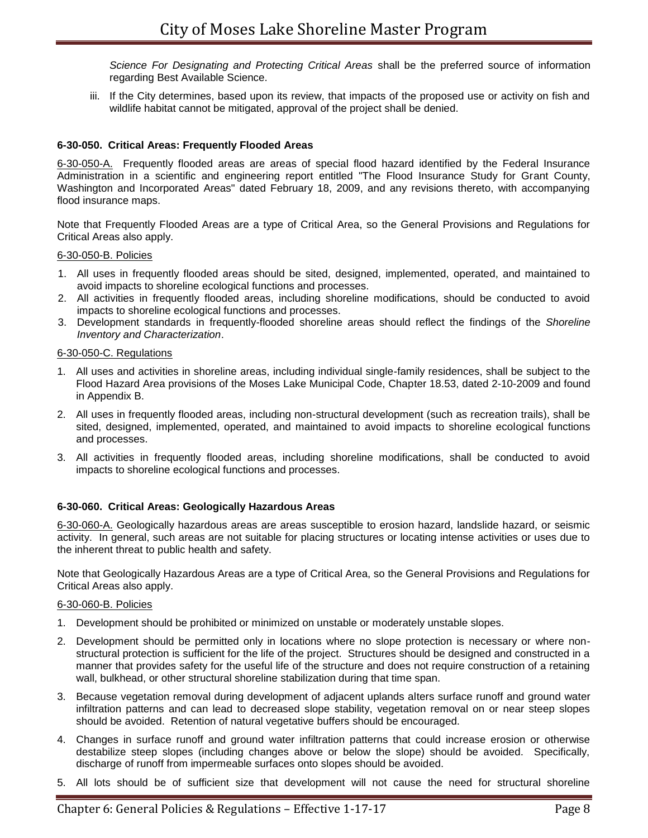*Science For Designating and Protecting Critical Areas* shall be the preferred source of information regarding Best Available Science.

iii. If the City determines, based upon its review, that impacts of the proposed use or activity on fish and wildlife habitat cannot be mitigated, approval of the project shall be denied.

# **6-30-050. Critical Areas: Frequently Flooded Areas**

6-30-050-A. Frequently flooded areas are areas of special flood hazard identified by the Federal Insurance Administration in a scientific and engineering report entitled "The Flood Insurance Study for Grant County, Washington and Incorporated Areas" dated February 18, 2009, and any revisions thereto, with accompanying flood insurance maps.

Note that Frequently Flooded Areas are a type of Critical Area, so the General Provisions and Regulations for Critical Areas also apply.

### 6-30-050-B. Policies

- 1. All uses in frequently flooded areas should be sited, designed, implemented, operated, and maintained to avoid impacts to shoreline ecological functions and processes.
- 2. All activities in frequently flooded areas, including shoreline modifications, should be conducted to avoid impacts to shoreline ecological functions and processes.
- 3. Development standards in frequently-flooded shoreline areas should reflect the findings of the *Shoreline Inventory and Characterization*.

### 6-30-050-C. Regulations

- 1. All uses and activities in shoreline areas, including individual single-family residences, shall be subject to the Flood Hazard Area provisions of the Moses Lake Municipal Code, Chapter 18.53, dated 2-10-2009 and found in Appendix B.
- 2. All uses in frequently flooded areas, including non-structural development (such as recreation trails), shall be sited, designed, implemented, operated, and maintained to avoid impacts to shoreline ecological functions and processes.
- 3. All activities in frequently flooded areas, including shoreline modifications, shall be conducted to avoid impacts to shoreline ecological functions and processes.

# **6-30-060. Critical Areas: Geologically Hazardous Areas**

6-30-060-A. Geologically hazardous areas are areas susceptible to erosion hazard, landslide hazard, or seismic activity. In general, such areas are not suitable for placing structures or locating intense activities or uses due to the inherent threat to public health and safety.

Note that Geologically Hazardous Areas are a type of Critical Area, so the General Provisions and Regulations for Critical Areas also apply.

#### 6-30-060-B. Policies

- 1. Development should be prohibited or minimized on unstable or moderately unstable slopes.
- 2. Development should be permitted only in locations where no slope protection is necessary or where nonstructural protection is sufficient for the life of the project. Structures should be designed and constructed in a manner that provides safety for the useful life of the structure and does not require construction of a retaining wall, bulkhead, or other structural shoreline stabilization during that time span.
- 3. Because vegetation removal during development of adjacent uplands alters surface runoff and ground water infiltration patterns and can lead to decreased slope stability, vegetation removal on or near steep slopes should be avoided. Retention of natural vegetative buffers should be encouraged.
- 4. Changes in surface runoff and ground water infiltration patterns that could increase erosion or otherwise destabilize steep slopes (including changes above or below the slope) should be avoided. Specifically, discharge of runoff from impermeable surfaces onto slopes should be avoided.
- 5. All lots should be of sufficient size that development will not cause the need for structural shoreline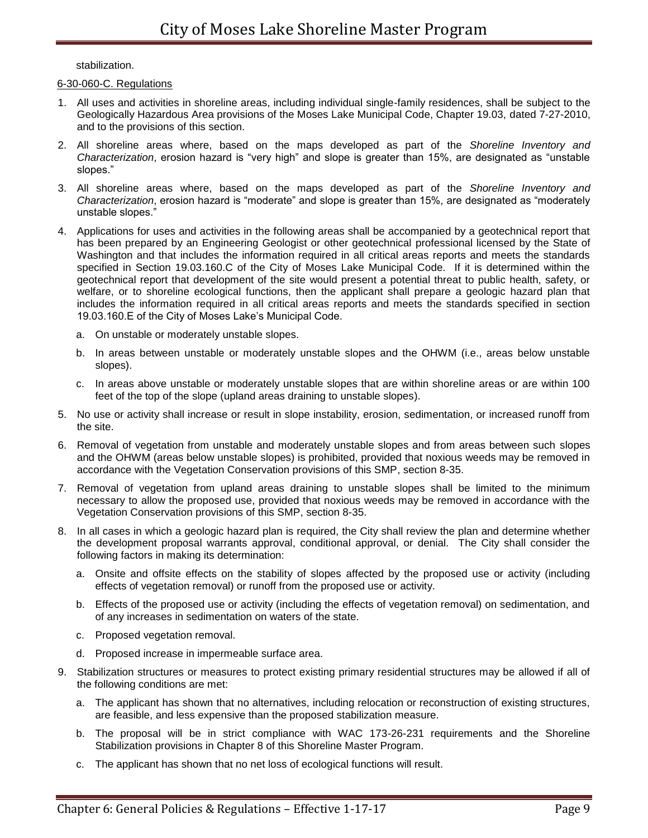stabilization.

## 6-30-060-C. Regulations

- 1. All uses and activities in shoreline areas, including individual single-family residences, shall be subject to the Geologically Hazardous Area provisions of the Moses Lake Municipal Code, Chapter 19.03, dated 7-27-2010, and to the provisions of this section.
- 2. All shoreline areas where, based on the maps developed as part of the *Shoreline Inventory and Characterization*, erosion hazard is "very high" and slope is greater than 15%, are designated as "unstable slopes."
- 3. All shoreline areas where, based on the maps developed as part of the *Shoreline Inventory and Characterization*, erosion hazard is "moderate" and slope is greater than 15%, are designated as "moderately unstable slopes."
- 4. Applications for uses and activities in the following areas shall be accompanied by a geotechnical report that has been prepared by an Engineering Geologist or other geotechnical professional licensed by the State of Washington and that includes the information required in all critical areas reports and meets the standards specified in Section 19.03.160.C of the City of Moses Lake Municipal Code. If it is determined within the geotechnical report that development of the site would present a potential threat to public health, safety, or welfare, or to shoreline ecological functions, then the applicant shall prepare a geologic hazard plan that includes the information required in all critical areas reports and meets the standards specified in section 19.03.160.E of the City of Moses Lake's Municipal Code.
	- a. On unstable or moderately unstable slopes.
	- b. In areas between unstable or moderately unstable slopes and the OHWM (i.e., areas below unstable slopes).
	- c. In areas above unstable or moderately unstable slopes that are within shoreline areas or are within 100 feet of the top of the slope (upland areas draining to unstable slopes).
- 5. No use or activity shall increase or result in slope instability, erosion, sedimentation, or increased runoff from the site.
- 6. Removal of vegetation from unstable and moderately unstable slopes and from areas between such slopes and the OHWM (areas below unstable slopes) is prohibited, provided that noxious weeds may be removed in accordance with the Vegetation Conservation provisions of this SMP, section 8-35.
- 7. Removal of vegetation from upland areas draining to unstable slopes shall be limited to the minimum necessary to allow the proposed use, provided that noxious weeds may be removed in accordance with the Vegetation Conservation provisions of this SMP, section 8-35.
- 8. In all cases in which a geologic hazard plan is required, the City shall review the plan and determine whether the development proposal warrants approval, conditional approval, or denial. The City shall consider the following factors in making its determination:
	- a. Onsite and offsite effects on the stability of slopes affected by the proposed use or activity (including effects of vegetation removal) or runoff from the proposed use or activity.
	- b. Effects of the proposed use or activity (including the effects of vegetation removal) on sedimentation, and of any increases in sedimentation on waters of the state.
	- c. Proposed vegetation removal.
	- d. Proposed increase in impermeable surface area.
- 9. Stabilization structures or measures to protect existing primary residential structures may be allowed if all of the following conditions are met:
	- a. The applicant has shown that no alternatives, including relocation or reconstruction of existing structures, are feasible, and less expensive than the proposed stabilization measure.
	- b. The proposal will be in strict compliance with WAC 173-26-231 requirements and the Shoreline Stabilization provisions in Chapter 8 of this Shoreline Master Program.
	- c. The applicant has shown that no net loss of ecological functions will result.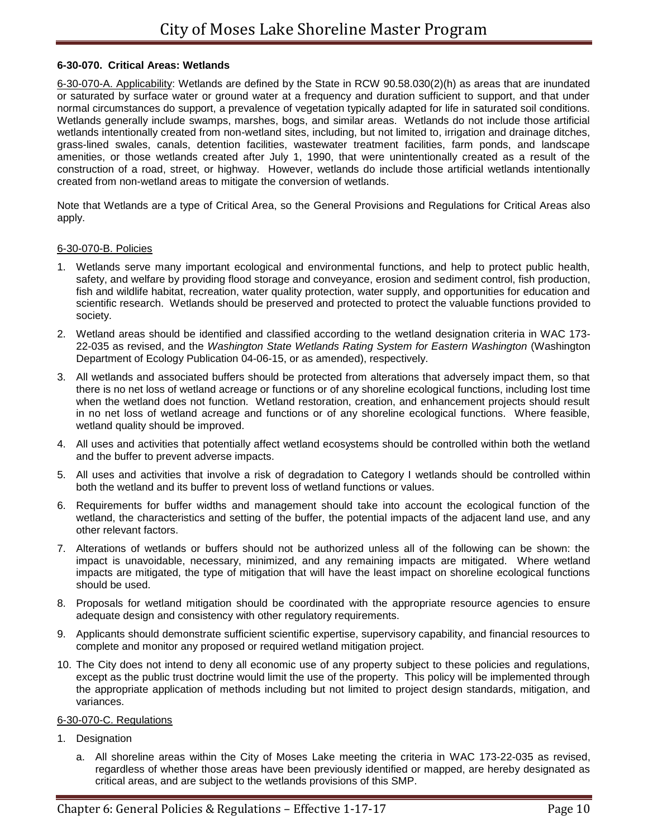## **6-30-070. Critical Areas: Wetlands**

6-30-070-A. Applicability: Wetlands are defined by the State in RCW 90.58.030(2)(h) as areas that are inundated or saturated by surface water or ground water at a frequency and duration sufficient to support, and that under normal circumstances do support, a prevalence of vegetation typically adapted for life in saturated soil conditions. Wetlands generally include swamps, marshes, bogs, and similar areas. Wetlands do not include those artificial wetlands intentionally created from non-wetland sites, including, but not limited to, irrigation and drainage ditches, grass-lined swales, canals, detention facilities, wastewater treatment facilities, farm ponds, and landscape amenities, or those wetlands created after July 1, 1990, that were unintentionally created as a result of the construction of a road, street, or highway. However, wetlands do include those artificial wetlands intentionally created from non-wetland areas to mitigate the conversion of wetlands.

Note that Wetlands are a type of Critical Area, so the General Provisions and Regulations for Critical Areas also apply.

#### 6-30-070-B. Policies

- 1. Wetlands serve many important ecological and environmental functions, and help to protect public health, safety, and welfare by providing flood storage and conveyance, erosion and sediment control, fish production, fish and wildlife habitat, recreation, water quality protection, water supply, and opportunities for education and scientific research. Wetlands should be preserved and protected to protect the valuable functions provided to society.
- 2. Wetland areas should be identified and classified according to the wetland designation criteria in WAC 173- 22-035 as revised, and the *Washington State Wetlands Rating System for Eastern Washington* (Washington Department of Ecology Publication 04-06-15, or as amended), respectively.
- 3. All wetlands and associated buffers should be protected from alterations that adversely impact them, so that there is no net loss of wetland acreage or functions or of any shoreline ecological functions, including lost time when the wetland does not function. Wetland restoration, creation, and enhancement projects should result in no net loss of wetland acreage and functions or of any shoreline ecological functions. Where feasible, wetland quality should be improved.
- 4. All uses and activities that potentially affect wetland ecosystems should be controlled within both the wetland and the buffer to prevent adverse impacts.
- 5. All uses and activities that involve a risk of degradation to Category I wetlands should be controlled within both the wetland and its buffer to prevent loss of wetland functions or values.
- 6. Requirements for buffer widths and management should take into account the ecological function of the wetland, the characteristics and setting of the buffer, the potential impacts of the adjacent land use, and any other relevant factors.
- 7. Alterations of wetlands or buffers should not be authorized unless all of the following can be shown: the impact is unavoidable, necessary, minimized, and any remaining impacts are mitigated. Where wetland impacts are mitigated, the type of mitigation that will have the least impact on shoreline ecological functions should be used.
- 8. Proposals for wetland mitigation should be coordinated with the appropriate resource agencies to ensure adequate design and consistency with other regulatory requirements.
- 9. Applicants should demonstrate sufficient scientific expertise, supervisory capability, and financial resources to complete and monitor any proposed or required wetland mitigation project.
- 10. The City does not intend to deny all economic use of any property subject to these policies and regulations, except as the public trust doctrine would limit the use of the property. This policy will be implemented through the appropriate application of methods including but not limited to project design standards, mitigation, and variances.

#### 6-30-070-C. Regulations

- 1. Designation
	- a. All shoreline areas within the City of Moses Lake meeting the criteria in WAC 173-22-035 as revised, regardless of whether those areas have been previously identified or mapped, are hereby designated as critical areas, and are subject to the wetlands provisions of this SMP.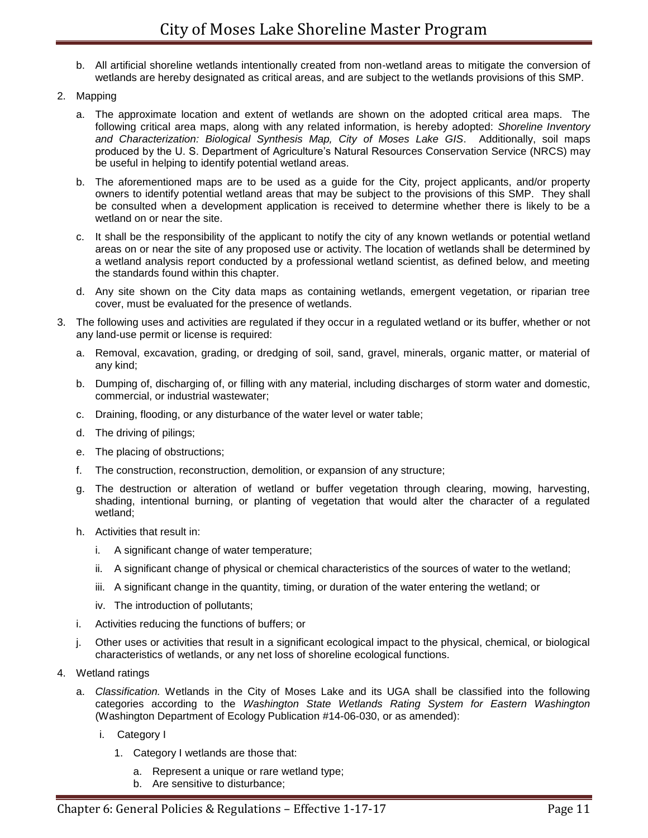- b. All artificial shoreline wetlands intentionally created from non-wetland areas to mitigate the conversion of wetlands are hereby designated as critical areas, and are subject to the wetlands provisions of this SMP.
- 2. Mapping
	- a. The approximate location and extent of wetlands are shown on the adopted critical area maps. The following critical area maps, along with any related information, is hereby adopted: *Shoreline Inventory and Characterization: Biological Synthesis Map, City of Moses Lake GIS*. Additionally, soil maps produced by the U. S. Department of Agriculture's Natural Resources Conservation Service (NRCS) may be useful in helping to identify potential wetland areas.
	- b. The aforementioned maps are to be used as a guide for the City, project applicants, and/or property owners to identify potential wetland areas that may be subject to the provisions of this SMP. They shall be consulted when a development application is received to determine whether there is likely to be a wetland on or near the site.
	- c. It shall be the responsibility of the applicant to notify the city of any known wetlands or potential wetland areas on or near the site of any proposed use or activity. The location of wetlands shall be determined by a wetland analysis report conducted by a professional wetland scientist, as defined below, and meeting the standards found within this chapter.
	- d. Any site shown on the City data maps as containing wetlands, emergent vegetation, or riparian tree cover, must be evaluated for the presence of wetlands.
- 3. The following uses and activities are regulated if they occur in a regulated wetland or its buffer, whether or not any land-use permit or license is required:
	- a. Removal, excavation, grading, or dredging of soil, sand, gravel, minerals, organic matter, or material of any kind;
	- b. Dumping of, discharging of, or filling with any material, including discharges of storm water and domestic, commercial, or industrial wastewater;
	- c. Draining, flooding, or any disturbance of the water level or water table;
	- d. The driving of pilings;
	- e. The placing of obstructions;
	- f. The construction, reconstruction, demolition, or expansion of any structure;
	- g. The destruction or alteration of wetland or buffer vegetation through clearing, mowing, harvesting, shading, intentional burning, or planting of vegetation that would alter the character of a regulated wetland;
	- h. Activities that result in:
		- i. A significant change of water temperature;
		- ii. A significant change of physical or chemical characteristics of the sources of water to the wetland;
		- iii. A significant change in the quantity, timing, or duration of the water entering the wetland; or
		- iv. The introduction of pollutants;
	- i. Activities reducing the functions of buffers; or
	- j. Other uses or activities that result in a significant ecological impact to the physical, chemical, or biological characteristics of wetlands, or any net loss of shoreline ecological functions.
- 4. Wetland ratings
	- a. *Classification.* Wetlands in the City of Moses Lake and its UGA shall be classified into the following categories according to the *Washington State Wetlands Rating System for Eastern Washington*  (Washington Department of Ecology Publication #14-06-030, or as amended):
		- i. Category I
			- 1. Category I wetlands are those that:
				- a. Represent a unique or rare wetland type;
				- b. Are sensitive to disturbance;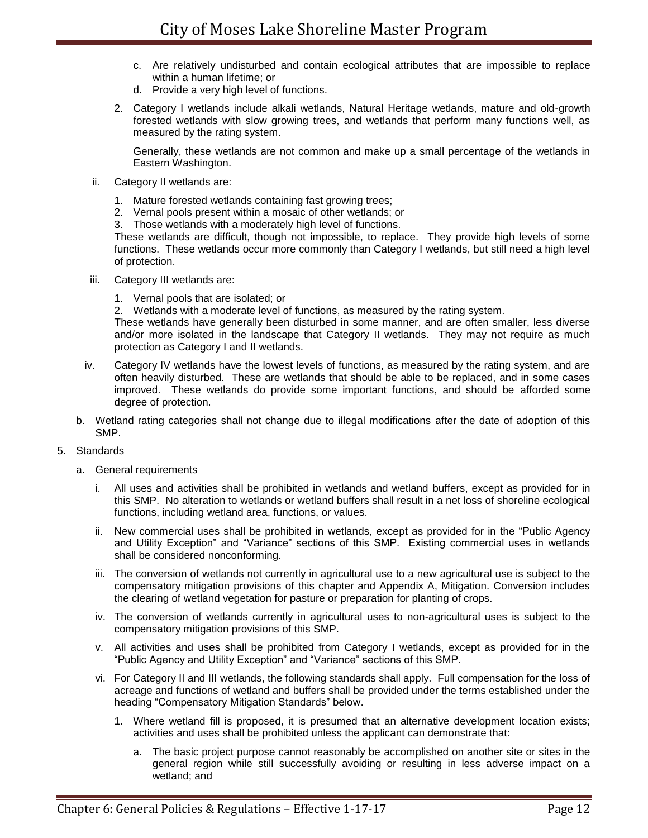- c. Are relatively undisturbed and contain ecological attributes that are impossible to replace within a human lifetime; or
- d. Provide a very high level of functions.
- 2. Category I wetlands include alkali wetlands, Natural Heritage wetlands, mature and old-growth forested wetlands with slow growing trees, and wetlands that perform many functions well, as measured by the rating system.

Generally, these wetlands are not common and make up a small percentage of the wetlands in Eastern Washington.

- ii. Category II wetlands are:
	- 1. Mature forested wetlands containing fast growing trees;
	- 2. Vernal pools present within a mosaic of other wetlands; or
	- 3. Those wetlands with a moderately high level of functions.

These wetlands are difficult, though not impossible, to replace. They provide high levels of some functions. These wetlands occur more commonly than Category I wetlands, but still need a high level of protection.

- iii. Category III wetlands are:
	- 1. Vernal pools that are isolated; or

2. Wetlands with a moderate level of functions, as measured by the rating system.

These wetlands have generally been disturbed in some manner, and are often smaller, less diverse and/or more isolated in the landscape that Category II wetlands. They may not require as much protection as Category I and II wetlands.

- iv. Category IV wetlands have the lowest levels of functions, as measured by the rating system, and are often heavily disturbed. These are wetlands that should be able to be replaced, and in some cases improved. These wetlands do provide some important functions, and should be afforded some degree of protection.
- b. Wetland rating categories shall not change due to illegal modifications after the date of adoption of this SMP.

#### 5. Standards

- a. General requirements
	- i. All uses and activities shall be prohibited in wetlands and wetland buffers, except as provided for in this SMP. No alteration to wetlands or wetland buffers shall result in a net loss of shoreline ecological functions, including wetland area, functions, or values.
	- ii. New commercial uses shall be prohibited in wetlands, except as provided for in the "Public Agency and Utility Exception" and "Variance" sections of this SMP. Existing commercial uses in wetlands shall be considered nonconforming.
	- iii. The conversion of wetlands not currently in agricultural use to a new agricultural use is subject to the compensatory mitigation provisions of this chapter and Appendix A, Mitigation. Conversion includes the clearing of wetland vegetation for pasture or preparation for planting of crops.
	- iv. The conversion of wetlands currently in agricultural uses to non-agricultural uses is subject to the compensatory mitigation provisions of this SMP.
	- v. All activities and uses shall be prohibited from Category I wetlands, except as provided for in the "Public Agency and Utility Exception" and "Variance" sections of this SMP.
	- vi. For Category II and III wetlands, the following standards shall apply. Full compensation for the loss of acreage and functions of wetland and buffers shall be provided under the terms established under the heading "Compensatory Mitigation Standards" below.
		- 1. Where wetland fill is proposed, it is presumed that an alternative development location exists; activities and uses shall be prohibited unless the applicant can demonstrate that:
			- a. The basic project purpose cannot reasonably be accomplished on another site or sites in the general region while still successfully avoiding or resulting in less adverse impact on a wetland; and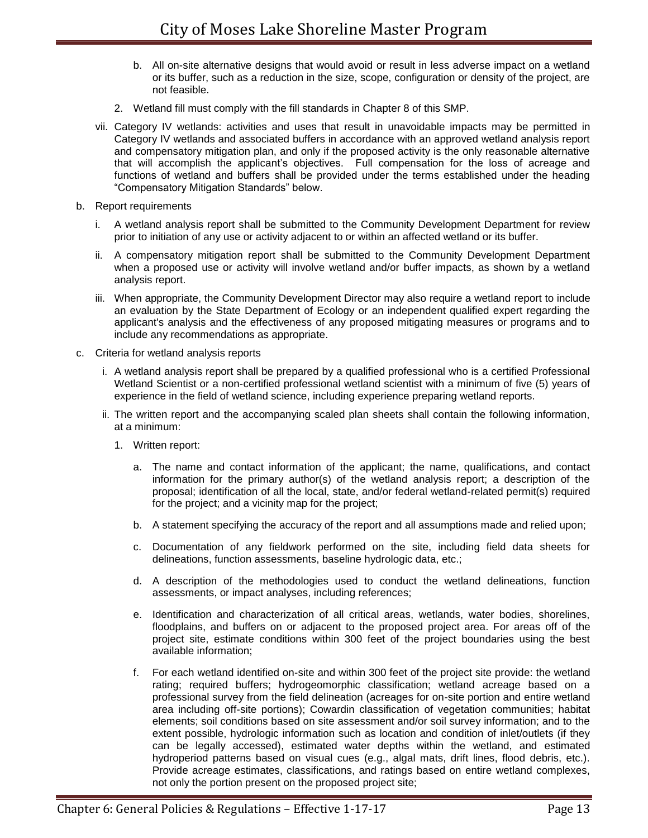- b. All on-site alternative designs that would avoid or result in less adverse impact on a wetland or its buffer, such as a reduction in the size, scope, configuration or density of the project, are not feasible.
- 2. Wetland fill must comply with the fill standards in Chapter 8 of this SMP.
- vii. Category IV wetlands: activities and uses that result in unavoidable impacts may be permitted in Category IV wetlands and associated buffers in accordance with an approved wetland analysis report and compensatory mitigation plan, and only if the proposed activity is the only reasonable alternative that will accomplish the applicant's objectives. Full compensation for the loss of acreage and functions of wetland and buffers shall be provided under the terms established under the heading "Compensatory Mitigation Standards" below.
- b. Report requirements
	- i. A wetland analysis report shall be submitted to the Community Development Department for review prior to initiation of any use or activity adjacent to or within an affected wetland or its buffer.
	- ii. A compensatory mitigation report shall be submitted to the Community Development Department when a proposed use or activity will involve wetland and/or buffer impacts, as shown by a wetland analysis report.
	- iii. When appropriate, the Community Development Director may also require a wetland report to include an evaluation by the State Department of Ecology or an independent qualified expert regarding the applicant's analysis and the effectiveness of any proposed mitigating measures or programs and to include any recommendations as appropriate.
- c. Criteria for wetland analysis reports
	- i. A wetland analysis report shall be prepared by a qualified professional who is a certified Professional Wetland Scientist or a non-certified professional wetland scientist with a minimum of five (5) years of experience in the field of wetland science, including experience preparing wetland reports.
	- ii. The written report and the accompanying scaled plan sheets shall contain the following information, at a minimum:
		- 1. Written report:
			- a. The name and contact information of the applicant; the name, qualifications, and contact information for the primary author(s) of the wetland analysis report; a description of the proposal; identification of all the local, state, and/or federal wetland-related permit(s) required for the project; and a vicinity map for the project;
			- b. A statement specifying the accuracy of the report and all assumptions made and relied upon;
			- c. Documentation of any fieldwork performed on the site, including field data sheets for delineations, function assessments, baseline hydrologic data, etc.;
			- d. A description of the methodologies used to conduct the wetland delineations, function assessments, or impact analyses, including references;
			- e. Identification and characterization of all critical areas, wetlands, water bodies, shorelines, floodplains, and buffers on or adjacent to the proposed project area. For areas off of the project site, estimate conditions within 300 feet of the project boundaries using the best available information;
			- f. For each wetland identified on-site and within 300 feet of the project site provide: the wetland rating; required buffers; hydrogeomorphic classification; wetland acreage based on a professional survey from the field delineation (acreages for on-site portion and entire wetland area including off-site portions); Cowardin classification of vegetation communities; habitat elements; soil conditions based on site assessment and/or soil survey information; and to the extent possible, hydrologic information such as location and condition of inlet/outlets (if they can be legally accessed), estimated water depths within the wetland, and estimated hydroperiod patterns based on visual cues (e.g., algal mats, drift lines, flood debris, etc.). Provide acreage estimates, classifications, and ratings based on entire wetland complexes, not only the portion present on the proposed project site;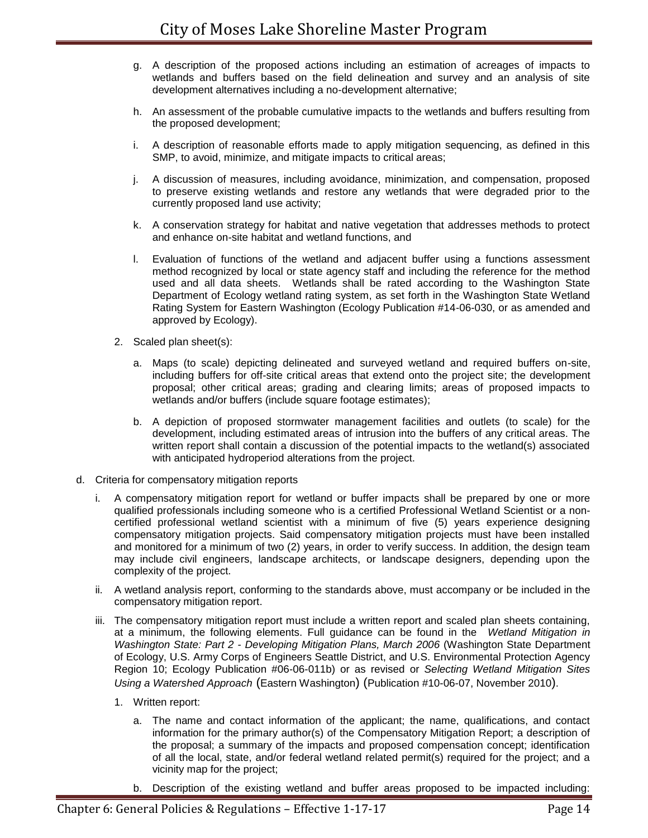- g. A description of the proposed actions including an estimation of acreages of impacts to wetlands and buffers based on the field delineation and survey and an analysis of site development alternatives including a no-development alternative;
- h. An assessment of the probable cumulative impacts to the wetlands and buffers resulting from the proposed development;
- i. A description of reasonable efforts made to apply mitigation sequencing, as defined in this SMP, to avoid, minimize, and mitigate impacts to critical areas;
- j. A discussion of measures, including avoidance, minimization, and compensation, proposed to preserve existing wetlands and restore any wetlands that were degraded prior to the currently proposed land use activity;
- k. A conservation strategy for habitat and native vegetation that addresses methods to protect and enhance on-site habitat and wetland functions, and
- l. Evaluation of functions of the wetland and adjacent buffer using a functions assessment method recognized by local or state agency staff and including the reference for the method used and all data sheets. Wetlands shall be rated according to the Washington State Department of Ecology wetland rating system, as set forth in the Washington State Wetland Rating System for Eastern Washington (Ecology Publication #14-06-030, or as amended and approved by Ecology).
- 2. Scaled plan sheet(s):
	- a. Maps (to scale) depicting delineated and surveyed wetland and required buffers on-site, including buffers for off-site critical areas that extend onto the project site; the development proposal; other critical areas; grading and clearing limits; areas of proposed impacts to wetlands and/or buffers (include square footage estimates);
	- b. A depiction of proposed stormwater management facilities and outlets (to scale) for the development, including estimated areas of intrusion into the buffers of any critical areas. The written report shall contain a discussion of the potential impacts to the wetland(s) associated with anticipated hydroperiod alterations from the project.
- d. Criteria for compensatory mitigation reports
	- i. A compensatory mitigation report for wetland or buffer impacts shall be prepared by one or more qualified professionals including someone who is a certified Professional Wetland Scientist or a noncertified professional wetland scientist with a minimum of five (5) years experience designing compensatory mitigation projects. Said compensatory mitigation projects must have been installed and monitored for a minimum of two (2) years, in order to verify success. In addition, the design team may include civil engineers, landscape architects, or landscape designers, depending upon the complexity of the project.
	- ii. A wetland analysis report, conforming to the standards above, must accompany or be included in the compensatory mitigation report.
	- iii. The compensatory mitigation report must include a written report and scaled plan sheets containing, at a minimum, the following elements. Full guidance can be found in the *Wetland Mitigation in Washington State: Part 2 - Developing Mitigation Plans, March 2006* (Washington State Department of Ecology, U.S. Army Corps of Engineers Seattle District, and U.S. Environmental Protection Agency Region 10; Ecology Publication #06-06-011b) or as revised or *Selecting Wetland Mitigation Sites Using a Watershed Approach* (Eastern Washington) (Publication #10-06-07, November 2010).
		- 1. Written report:
			- a. The name and contact information of the applicant; the name, qualifications, and contact information for the primary author(s) of the Compensatory Mitigation Report; a description of the proposal; a summary of the impacts and proposed compensation concept; identification of all the local, state, and/or federal wetland related permit(s) required for the project; and a vicinity map for the project;
			- b. Description of the existing wetland and buffer areas proposed to be impacted including: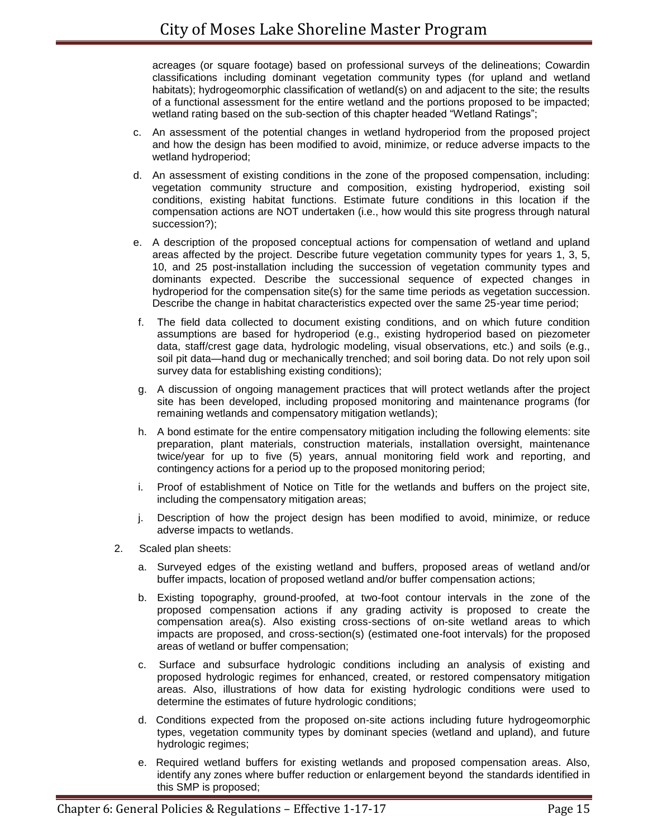acreages (or square footage) based on professional surveys of the delineations; Cowardin classifications including dominant vegetation community types (for upland and wetland habitats); hydrogeomorphic classification of wetland(s) on and adjacent to the site; the results of a functional assessment for the entire wetland and the portions proposed to be impacted; wetland rating based on the sub-section of this chapter headed "Wetland Ratings";

- c. An assessment of the potential changes in wetland hydroperiod from the proposed project and how the design has been modified to avoid, minimize, or reduce adverse impacts to the wetland hydroperiod;
- d. An assessment of existing conditions in the zone of the proposed compensation, including: vegetation community structure and composition, existing hydroperiod, existing soil conditions, existing habitat functions. Estimate future conditions in this location if the compensation actions are NOT undertaken (i.e., how would this site progress through natural succession?);
- e. A description of the proposed conceptual actions for compensation of wetland and upland areas affected by the project. Describe future vegetation community types for years 1, 3, 5, 10, and 25 post-installation including the succession of vegetation community types and dominants expected. Describe the successional sequence of expected changes in hydroperiod for the compensation site(s) for the same time periods as vegetation succession. Describe the change in habitat characteristics expected over the same 25-year time period;
- f. The field data collected to document existing conditions, and on which future condition assumptions are based for hydroperiod (e.g., existing hydroperiod based on piezometer data, staff/crest gage data, hydrologic modeling, visual observations, etc.) and soils (e.g., soil pit data—hand dug or mechanically trenched; and soil boring data. Do not rely upon soil survey data for establishing existing conditions);
- g. A discussion of ongoing management practices that will protect wetlands after the project site has been developed, including proposed monitoring and maintenance programs (for remaining wetlands and compensatory mitigation wetlands);
- h. A bond estimate for the entire compensatory mitigation including the following elements: site preparation, plant materials, construction materials, installation oversight, maintenance twice/year for up to five (5) years, annual monitoring field work and reporting, and contingency actions for a period up to the proposed monitoring period;
- i. Proof of establishment of Notice on Title for the wetlands and buffers on the project site, including the compensatory mitigation areas;
- j. Description of how the project design has been modified to avoid, minimize, or reduce adverse impacts to wetlands.
- 2. Scaled plan sheets:
	- a. Surveyed edges of the existing wetland and buffers, proposed areas of wetland and/or buffer impacts, location of proposed wetland and/or buffer compensation actions;
	- b. Existing topography, ground-proofed, at two-foot contour intervals in the zone of the proposed compensation actions if any grading activity is proposed to create the compensation area(s). Also existing cross-sections of on-site wetland areas to which impacts are proposed, and cross-section(s) (estimated one-foot intervals) for the proposed areas of wetland or buffer compensation;
	- c. Surface and subsurface hydrologic conditions including an analysis of existing and proposed hydrologic regimes for enhanced, created, or restored compensatory mitigation areas. Also, illustrations of how data for existing hydrologic conditions were used to determine the estimates of future hydrologic conditions;
	- d. Conditions expected from the proposed on-site actions including future hydrogeomorphic types, vegetation community types by dominant species (wetland and upland), and future hydrologic regimes;
	- e. Required wetland buffers for existing wetlands and proposed compensation areas. Also, identify any zones where buffer reduction or enlargement beyond the standards identified in this SMP is proposed;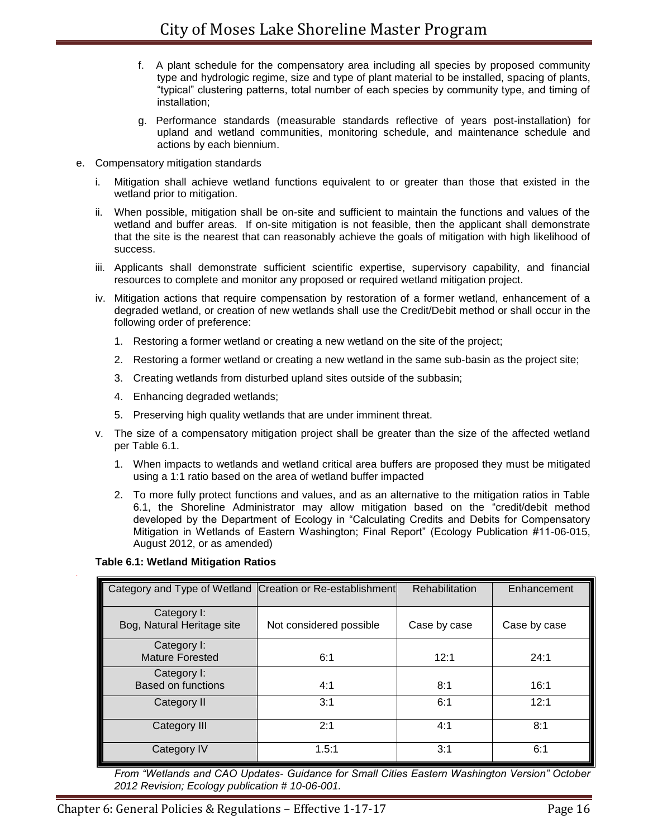- f. A plant schedule for the compensatory area including all species by proposed community type and hydrologic regime, size and type of plant material to be installed, spacing of plants, "typical" clustering patterns, total number of each species by community type, and timing of installation;
- g. Performance standards (measurable standards reflective of years post-installation) for upland and wetland communities, monitoring schedule, and maintenance schedule and actions by each biennium.
- e. Compensatory mitigation standards
	- i. Mitigation shall achieve wetland functions equivalent to or greater than those that existed in the wetland prior to mitigation.
	- ii. When possible, mitigation shall be on-site and sufficient to maintain the functions and values of the wetland and buffer areas. If on-site mitigation is not feasible, then the applicant shall demonstrate that the site is the nearest that can reasonably achieve the goals of mitigation with high likelihood of success.
	- iii. Applicants shall demonstrate sufficient scientific expertise, supervisory capability, and financial resources to complete and monitor any proposed or required wetland mitigation project.
	- iv. Mitigation actions that require compensation by restoration of a former wetland, enhancement of a degraded wetland, or creation of new wetlands shall use the Credit/Debit method or shall occur in the following order of preference:
		- 1. Restoring a former wetland or creating a new wetland on the site of the project;
		- 2. Restoring a former wetland or creating a new wetland in the same sub-basin as the project site;
		- 3. Creating wetlands from disturbed upland sites outside of the subbasin;
		- 4. Enhancing degraded wetlands;
		- 5. Preserving high quality wetlands that are under imminent threat.
	- v. The size of a compensatory mitigation project shall be greater than the size of the affected wetland per Table 6.1.
		- 1. When impacts to wetlands and wetland critical area buffers are proposed they must be mitigated using a 1:1 ratio based on the area of wetland buffer impacted
		- 2. To more fully protect functions and values, and as an alternative to the mitigation ratios in Table 6.1, the Shoreline Administrator may allow mitigation based on the "credit/debit method developed by the Department of Ecology in "Calculating Credits and Debits for Compensatory Mitigation in Wetlands of Eastern Washington; Final Report" (Ecology Publication #11-06-015, August 2012, or as amended)

#### **Table 6.1: Wetland Mitigation Ratios**

| Category and Type of Wetland Creation or Re-establishment |                         | Rehabilitation | Enhancement  |
|-----------------------------------------------------------|-------------------------|----------------|--------------|
| Category I:<br>Bog, Natural Heritage site                 | Not considered possible | Case by case   | Case by case |
| Category I:<br><b>Mature Forested</b>                     | 6:1                     | 12:1           | 24:1         |
| Category I:<br>Based on functions                         | 4:1                     | 8:1            | 16:1         |
| Category II                                               | 3:1                     | 6:1            | 12:1         |
| Category III                                              | 2:1                     | 4:1            | 8:1          |
| Category IV                                               | 1.5:1                   | 3:1            | 6:1          |

*From "Wetlands and CAO Updates- Guidance for Small Cities Eastern Washington Version" October 2012 Revision; Ecology publication # 10-06-001.*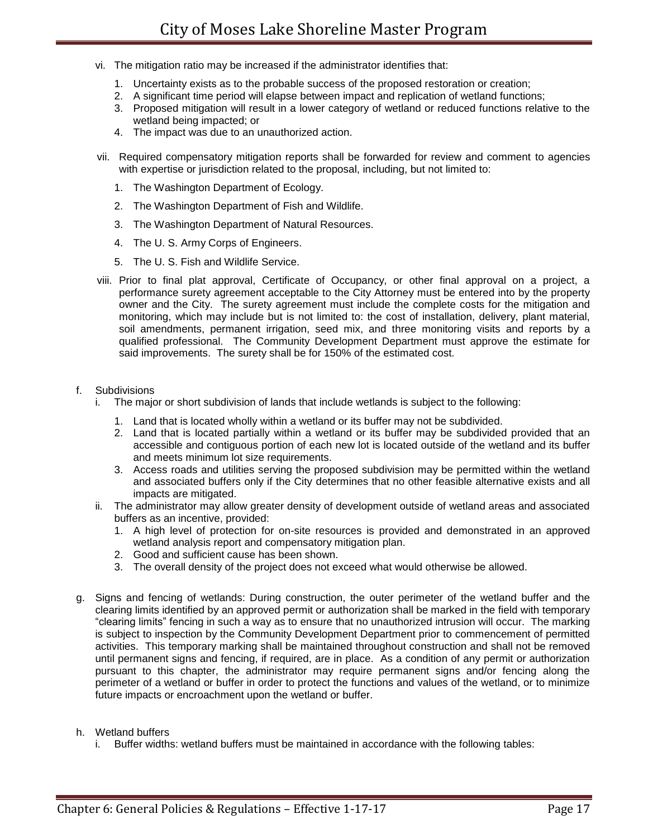- vi. The mitigation ratio may be increased if the administrator identifies that:
	- 1. Uncertainty exists as to the probable success of the proposed restoration or creation;
	- 2. A significant time period will elapse between impact and replication of wetland functions;
	- 3. Proposed mitigation will result in a lower category of wetland or reduced functions relative to the wetland being impacted; or
	- 4. The impact was due to an unauthorized action.
- vii. Required compensatory mitigation reports shall be forwarded for review and comment to agencies with expertise or jurisdiction related to the proposal, including, but not limited to:
	- 1. The Washington Department of Ecology.
	- 2. The Washington Department of Fish and Wildlife.
	- 3. The Washington Department of Natural Resources.
	- 4. The U. S. Army Corps of Engineers.
	- 5. The U. S. Fish and Wildlife Service.
- viii. Prior to final plat approval, Certificate of Occupancy, or other final approval on a project, a performance surety agreement acceptable to the City Attorney must be entered into by the property owner and the City. The surety agreement must include the complete costs for the mitigation and monitoring, which may include but is not limited to: the cost of installation, delivery, plant material, soil amendments, permanent irrigation, seed mix, and three monitoring visits and reports by a qualified professional. The Community Development Department must approve the estimate for said improvements. The surety shall be for 150% of the estimated cost.

### f. Subdivisions

- i. The major or short subdivision of lands that include wetlands is subject to the following:
	- 1. Land that is located wholly within a wetland or its buffer may not be subdivided.
	- 2. Land that is located partially within a wetland or its buffer may be subdivided provided that an accessible and contiguous portion of each new lot is located outside of the wetland and its buffer and meets minimum lot size requirements.
	- 3. Access roads and utilities serving the proposed subdivision may be permitted within the wetland and associated buffers only if the City determines that no other feasible alternative exists and all impacts are mitigated.
- ii. The administrator may allow greater density of development outside of wetland areas and associated buffers as an incentive, provided:
	- 1. A high level of protection for on-site resources is provided and demonstrated in an approved wetland analysis report and compensatory mitigation plan.
	- 2. Good and sufficient cause has been shown.
	- 3. The overall density of the project does not exceed what would otherwise be allowed.
- g. Signs and fencing of wetlands: During construction, the outer perimeter of the wetland buffer and the clearing limits identified by an approved permit or authorization shall be marked in the field with temporary "clearing limits" fencing in such a way as to ensure that no unauthorized intrusion will occur. The marking is subject to inspection by the Community Development Department prior to commencement of permitted activities. This temporary marking shall be maintained throughout construction and shall not be removed until permanent signs and fencing, if required, are in place. As a condition of any permit or authorization pursuant to this chapter, the administrator may require permanent signs and/or fencing along the perimeter of a wetland or buffer in order to protect the functions and values of the wetland, or to minimize future impacts or encroachment upon the wetland or buffer.

#### h. Wetland buffers

i. Buffer widths: wetland buffers must be maintained in accordance with the following tables: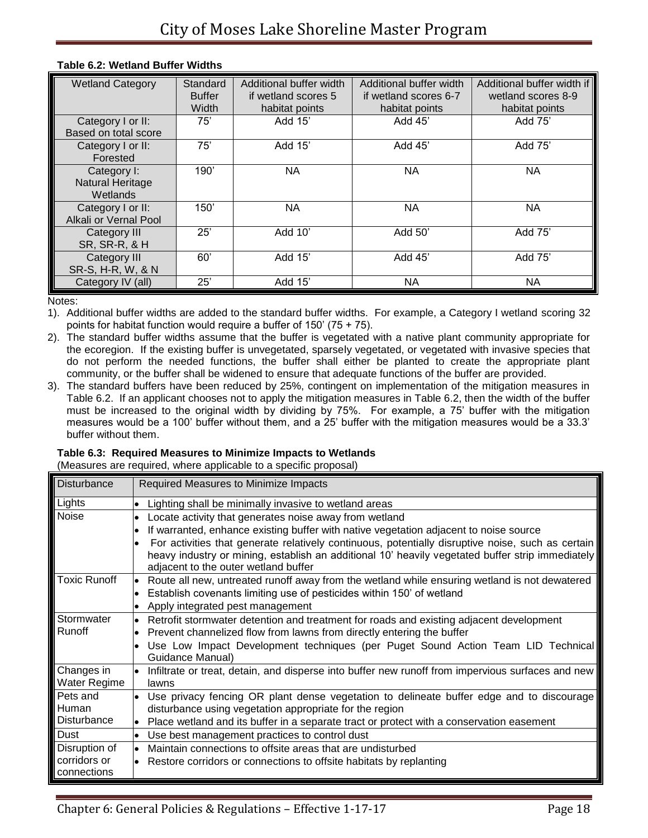| <b>Wetland Category</b>                            | Standard<br><b>Buffer</b><br>Width | Additional buffer width<br>if wetland scores 5<br>habitat points | Additional buffer width<br>if wetland scores 6-7<br>habitat points | Additional buffer width if<br>wetland scores 8-9<br>habitat points |
|----------------------------------------------------|------------------------------------|------------------------------------------------------------------|--------------------------------------------------------------------|--------------------------------------------------------------------|
| Category I or II:<br>Based on total score          | 75'                                | Add 15'                                                          | Add 45'                                                            | Add 75'                                                            |
| Category I or II:<br>Forested                      | 75'                                | Add 15'                                                          | Add 45'                                                            | Add 75'                                                            |
| Category I:<br><b>Natural Heritage</b><br>Wetlands | 190'                               | NA                                                               | NA.                                                                | NA.                                                                |
| Category I or II:<br>Alkali or Vernal Pool         | 150'                               | <b>NA</b>                                                        | <b>NA</b>                                                          | <b>NA</b>                                                          |
| Category III<br><b>SR, SR-R, &amp; H</b>           | 25'                                | Add 10'                                                          | Add 50'                                                            | Add 75'                                                            |
| Category III<br>SR-S, H-R, W, & N                  | 60'                                | Add 15'                                                          | Add 45'                                                            | Add 75'                                                            |
| Category IV (all)                                  | 25'                                | Add 15'                                                          | NA.                                                                | NА                                                                 |

#### **Table 6.2: Wetland Buffer Widths**

Notes:

1). Additional buffer widths are added to the standard buffer widths. For example, a Category I wetland scoring 32 points for habitat function would require a buffer of 150' (75 + 75).

2). The standard buffer widths assume that the buffer is vegetated with a native plant community appropriate for the ecoregion. If the existing buffer is unvegetated, sparsely vegetated, or vegetated with invasive species that do not perform the needed functions, the buffer shall either be planted to create the appropriate plant community, or the buffer shall be widened to ensure that adequate functions of the buffer are provided.

3). The standard buffers have been reduced by 25%, contingent on implementation of the mitigation measures in Table 6.2. If an applicant chooses not to apply the mitigation measures in Table 6.2, then the width of the buffer must be increased to the original width by dividing by 75%. For example, a 75' buffer with the mitigation measures would be a 100' buffer without them, and a 25' buffer with the mitigation measures would be a 33.3' buffer without them.

# **Table 6.3: Required Measures to Minimize Impacts to Wetlands**

(Measures are required, where applicable to a specific proposal)

| <b>Disturbance</b>  | Required Measures to Minimize Impacts                                                                          |
|---------------------|----------------------------------------------------------------------------------------------------------------|
| Lights              | Lighting shall be minimally invasive to wetland areas                                                          |
| Noise               | Locate activity that generates noise away from wetland<br>$\bullet$                                            |
|                     | If warranted, enhance existing buffer with native vegetation adjacent to noise source<br>$\bullet$             |
|                     | For activities that generate relatively continuous, potentially disruptive noise, such as certain<br>$\bullet$ |
|                     | heavy industry or mining, establish an additional 10' heavily vegetated buffer strip immediately               |
|                     | adjacent to the outer wetland buffer                                                                           |
| <b>Toxic Runoff</b> | Route all new, untreated runoff away from the wetland while ensuring wetland is not dewatered                  |
|                     | Establish covenants limiting use of pesticides within 150' of wetland<br>$\bullet$                             |
|                     | Apply integrated pest management                                                                               |
| Stormwater          | Retrofit stormwater detention and treatment for roads and existing adjacent development                        |
| Runoff              | Prevent channelized flow from lawns from directly entering the buffer                                          |
|                     | Use Low Impact Development techniques (per Puget Sound Action Team LID Technical                               |
|                     | Guidance Manual)                                                                                               |
| Changes in          | Infiltrate or treat, detain, and disperse into buffer new runoff from impervious surfaces and new              |
| Water Regime        | lawns                                                                                                          |
| Pets and            | Use privacy fencing OR plant dense vegetation to delineate buffer edge and to discourage                       |
| Human               | disturbance using vegetation appropriate for the region                                                        |
| <b>Disturbance</b>  | Place wetland and its buffer in a separate tract or protect with a conservation easement                       |
| Dust                | Use best management practices to control dust<br>$\bullet$                                                     |
| Disruption of       | Maintain connections to offsite areas that are undisturbed<br>lo                                               |
| corridors or        | Restore corridors or connections to offsite habitats by replanting                                             |
| connections         |                                                                                                                |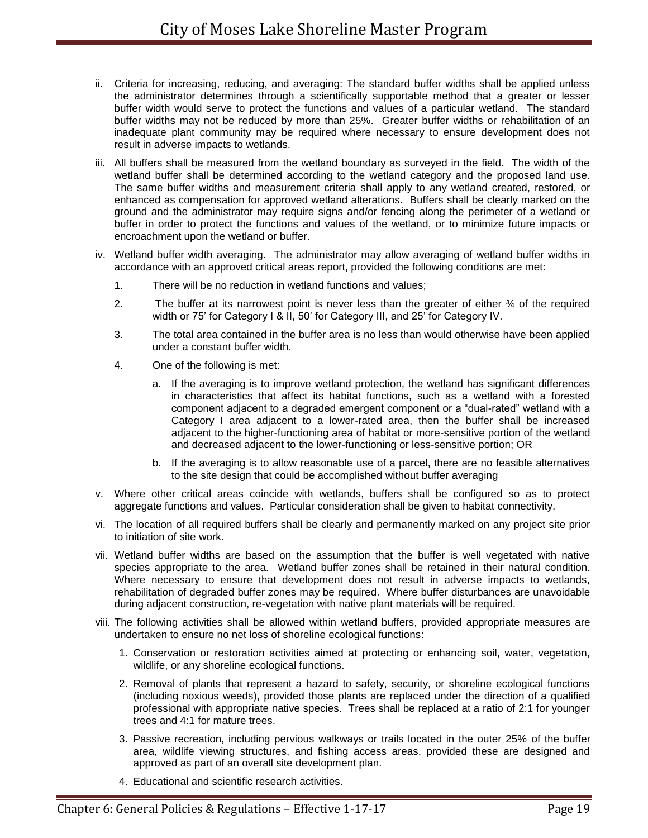- ii. Criteria for increasing, reducing, and averaging: The standard buffer widths shall be applied unless the administrator determines through a scientifically supportable method that a greater or lesser buffer width would serve to protect the functions and values of a particular wetland. The standard buffer widths may not be reduced by more than 25%. Greater buffer widths or rehabilitation of an inadequate plant community may be required where necessary to ensure development does not result in adverse impacts to wetlands.
- iii. All buffers shall be measured from the wetland boundary as surveyed in the field. The width of the wetland buffer shall be determined according to the wetland category and the proposed land use. The same buffer widths and measurement criteria shall apply to any wetland created, restored, or enhanced as compensation for approved wetland alterations. Buffers shall be clearly marked on the ground and the administrator may require signs and/or fencing along the perimeter of a wetland or buffer in order to protect the functions and values of the wetland, or to minimize future impacts or encroachment upon the wetland or buffer.
- iv. Wetland buffer width averaging. The administrator may allow averaging of wetland buffer widths in accordance with an approved critical areas report, provided the following conditions are met:
	- 1. There will be no reduction in wetland functions and values;
	- 2. The buffer at its narrowest point is never less than the greater of either ¾ of the required width or 75' for Category I & II, 50' for Category III, and 25' for Category IV.
	- 3. The total area contained in the buffer area is no less than would otherwise have been applied under a constant buffer width.
	- 4. One of the following is met:
		- a. If the averaging is to improve wetland protection, the wetland has significant differences in characteristics that affect its habitat functions, such as a wetland with a forested component adjacent to a degraded emergent component or a "dual-rated" wetland with a Category I area adjacent to a lower-rated area, then the buffer shall be increased adjacent to the higher-functioning area of habitat or more-sensitive portion of the wetland and decreased adjacent to the lower-functioning or less-sensitive portion; OR
		- b. If the averaging is to allow reasonable use of a parcel, there are no feasible alternatives to the site design that could be accomplished without buffer averaging
- v. Where other critical areas coincide with wetlands, buffers shall be configured so as to protect aggregate functions and values. Particular consideration shall be given to habitat connectivity.
- vi. The location of all required buffers shall be clearly and permanently marked on any project site prior to initiation of site work.
- vii. Wetland buffer widths are based on the assumption that the buffer is well vegetated with native species appropriate to the area. Wetland buffer zones shall be retained in their natural condition. Where necessary to ensure that development does not result in adverse impacts to wetlands, rehabilitation of degraded buffer zones may be required. Where buffer disturbances are unavoidable during adjacent construction, re-vegetation with native plant materials will be required.
- viii. The following activities shall be allowed within wetland buffers, provided appropriate measures are undertaken to ensure no net loss of shoreline ecological functions:
	- 1. Conservation or restoration activities aimed at protecting or enhancing soil, water, vegetation, wildlife, or any shoreline ecological functions.
	- 2. Removal of plants that represent a hazard to safety, security, or shoreline ecological functions (including noxious weeds), provided those plants are replaced under the direction of a qualified professional with appropriate native species. Trees shall be replaced at a ratio of 2:1 for younger trees and 4:1 for mature trees.
	- 3. Passive recreation, including pervious walkways or trails located in the outer 25% of the buffer area, wildlife viewing structures, and fishing access areas, provided these are designed and approved as part of an overall site development plan.
	- 4. Educational and scientific research activities.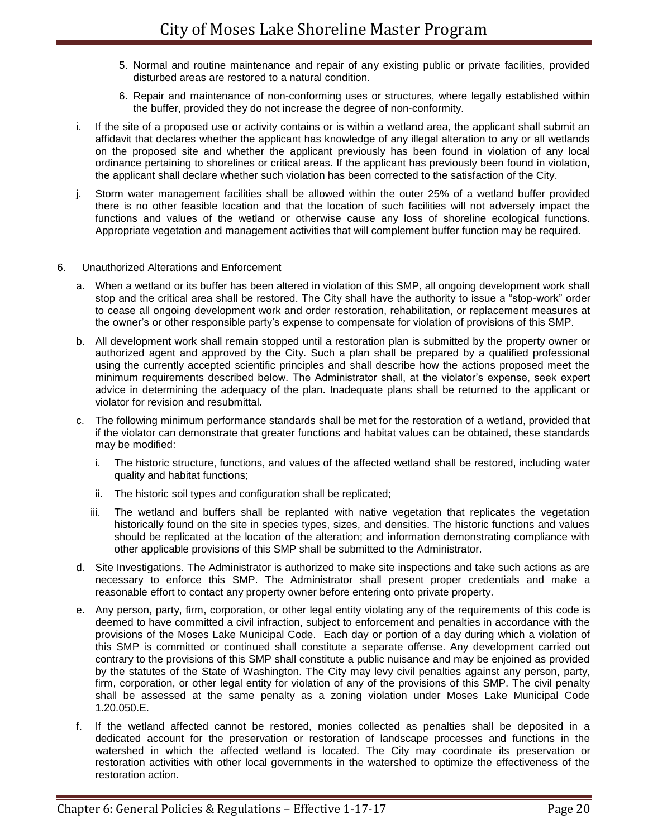- 5. Normal and routine maintenance and repair of any existing public or private facilities, provided disturbed areas are restored to a natural condition.
- 6. Repair and maintenance of non-conforming uses or structures, where legally established within the buffer, provided they do not increase the degree of non-conformity.
- i. If the site of a proposed use or activity contains or is within a wetland area, the applicant shall submit an affidavit that declares whether the applicant has knowledge of any illegal alteration to any or all wetlands on the proposed site and whether the applicant previously has been found in violation of any local ordinance pertaining to shorelines or critical areas. If the applicant has previously been found in violation, the applicant shall declare whether such violation has been corrected to the satisfaction of the City.
- j. Storm water management facilities shall be allowed within the outer 25% of a wetland buffer provided there is no other feasible location and that the location of such facilities will not adversely impact the functions and values of the wetland or otherwise cause any loss of shoreline ecological functions. Appropriate vegetation and management activities that will complement buffer function may be required.
- 6. Unauthorized Alterations and Enforcement
	- a. When a wetland or its buffer has been altered in violation of this SMP, all ongoing development work shall stop and the critical area shall be restored. The City shall have the authority to issue a "stop-work" order to cease all ongoing development work and order restoration, rehabilitation, or replacement measures at the owner's or other responsible party's expense to compensate for violation of provisions of this SMP.
	- b. All development work shall remain stopped until a restoration plan is submitted by the property owner or authorized agent and approved by the City. Such a plan shall be prepared by a qualified professional using the currently accepted scientific principles and shall describe how the actions proposed meet the minimum requirements described below. The Administrator shall, at the violator's expense, seek expert advice in determining the adequacy of the plan. Inadequate plans shall be returned to the applicant or violator for revision and resubmittal.
	- c. The following minimum performance standards shall be met for the restoration of a wetland, provided that if the violator can demonstrate that greater functions and habitat values can be obtained, these standards may be modified:
		- i. The historic structure, functions, and values of the affected wetland shall be restored, including water quality and habitat functions;
		- ii. The historic soil types and configuration shall be replicated;
		- iii. The wetland and buffers shall be replanted with native vegetation that replicates the vegetation historically found on the site in species types, sizes, and densities. The historic functions and values should be replicated at the location of the alteration; and information demonstrating compliance with other applicable provisions of this SMP shall be submitted to the Administrator.
	- d. Site Investigations. The Administrator is authorized to make site inspections and take such actions as are necessary to enforce this SMP. The Administrator shall present proper credentials and make a reasonable effort to contact any property owner before entering onto private property.
	- e. Any person, party, firm, corporation, or other legal entity violating any of the requirements of this code is deemed to have committed a civil infraction, subject to enforcement and penalties in accordance with the provisions of the Moses Lake Municipal Code. Each day or portion of a day during which a violation of this SMP is committed or continued shall constitute a separate offense. Any development carried out contrary to the provisions of this SMP shall constitute a public nuisance and may be enjoined as provided by the statutes of the State of Washington. The City may levy civil penalties against any person, party, firm, corporation, or other legal entity for violation of any of the provisions of this SMP. The civil penalty shall be assessed at the same penalty as a zoning violation under Moses Lake Municipal Code 1.20.050.E.
	- f. If the wetland affected cannot be restored, monies collected as penalties shall be deposited in a dedicated account for the preservation or restoration of landscape processes and functions in the watershed in which the affected wetland is located. The City may coordinate its preservation or restoration activities with other local governments in the watershed to optimize the effectiveness of the restoration action.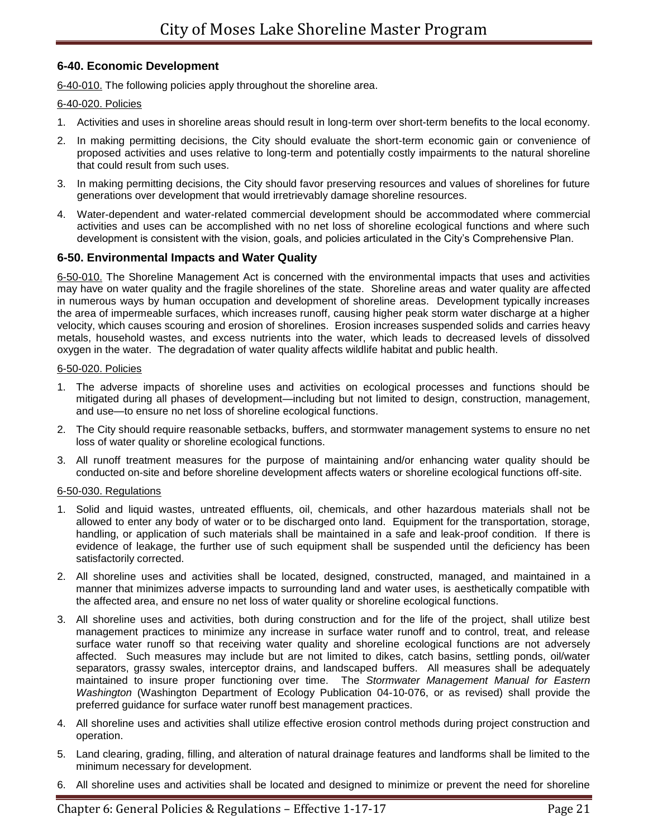# **6-40. Economic Development**

6-40-010. The following policies apply throughout the shoreline area.

# 6-40-020. Policies

- 1. Activities and uses in shoreline areas should result in long-term over short-term benefits to the local economy.
- 2. In making permitting decisions, the City should evaluate the short-term economic gain or convenience of proposed activities and uses relative to long-term and potentially costly impairments to the natural shoreline that could result from such uses.
- 3. In making permitting decisions, the City should favor preserving resources and values of shorelines for future generations over development that would irretrievably damage shoreline resources.
- 4. Water-dependent and water-related commercial development should be accommodated where commercial activities and uses can be accomplished with no net loss of shoreline ecological functions and where such development is consistent with the vision, goals, and policies articulated in the City's Comprehensive Plan.

# **6-50. Environmental Impacts and Water Quality**

6-50-010. The Shoreline Management Act is concerned with the environmental impacts that uses and activities may have on water quality and the fragile shorelines of the state. Shoreline areas and water quality are affected in numerous ways by human occupation and development of shoreline areas. Development typically increases the area of impermeable surfaces, which increases runoff, causing higher peak storm water discharge at a higher velocity, which causes scouring and erosion of shorelines. Erosion increases suspended solids and carries heavy metals, household wastes, and excess nutrients into the water, which leads to decreased levels of dissolved oxygen in the water. The degradation of water quality affects wildlife habitat and public health.

# 6-50-020. Policies

- 1. The adverse impacts of shoreline uses and activities on ecological processes and functions should be mitigated during all phases of development—including but not limited to design, construction, management, and use—to ensure no net loss of shoreline ecological functions.
- 2. The City should require reasonable setbacks, buffers, and stormwater management systems to ensure no net loss of water quality or shoreline ecological functions.
- 3. All runoff treatment measures for the purpose of maintaining and/or enhancing water quality should be conducted on-site and before shoreline development affects waters or shoreline ecological functions off-site.

# 6-50-030. Regulations

- 1. Solid and liquid wastes, untreated effluents, oil, chemicals, and other hazardous materials shall not be allowed to enter any body of water or to be discharged onto land. Equipment for the transportation, storage, handling, or application of such materials shall be maintained in a safe and leak-proof condition. If there is evidence of leakage, the further use of such equipment shall be suspended until the deficiency has been satisfactorily corrected.
- 2. All shoreline uses and activities shall be located, designed, constructed, managed, and maintained in a manner that minimizes adverse impacts to surrounding land and water uses, is aesthetically compatible with the affected area, and ensure no net loss of water quality or shoreline ecological functions.
- 3. All shoreline uses and activities, both during construction and for the life of the project, shall utilize best management practices to minimize any increase in surface water runoff and to control, treat, and release surface water runoff so that receiving water quality and shoreline ecological functions are not adversely affected. Such measures may include but are not limited to dikes, catch basins, settling ponds, oil/water separators, grassy swales, interceptor drains, and landscaped buffers. All measures shall be adequately maintained to insure proper functioning over time. The *Stormwater Management Manual for Eastern Washington* (Washington Department of Ecology Publication 04-10-076, or as revised) shall provide the preferred guidance for surface water runoff best management practices.
- 4. All shoreline uses and activities shall utilize effective erosion control methods during project construction and operation.
- 5. Land clearing, grading, filling, and alteration of natural drainage features and landforms shall be limited to the minimum necessary for development.
- 6. All shoreline uses and activities shall be located and designed to minimize or prevent the need for shoreline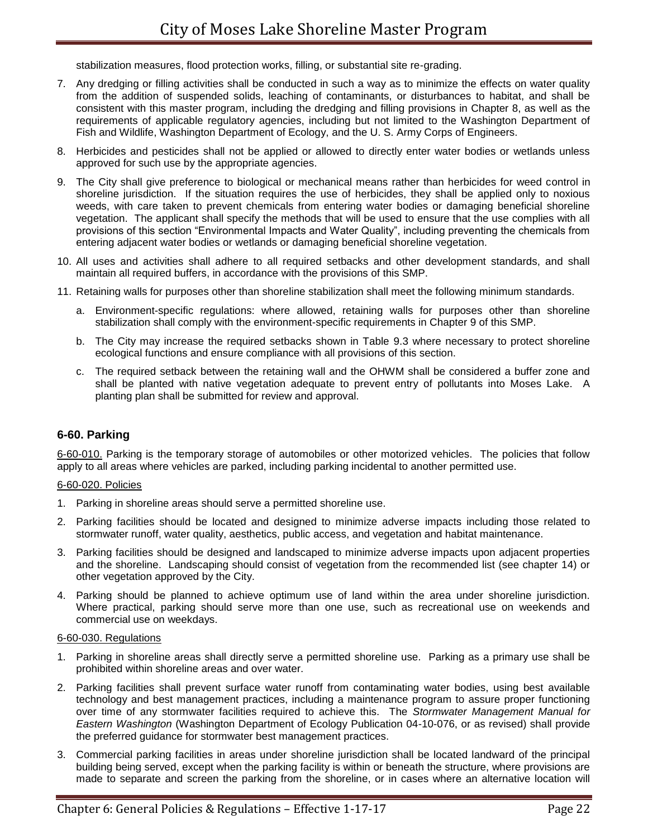stabilization measures, flood protection works, filling, or substantial site re-grading.

- 7. Any dredging or filling activities shall be conducted in such a way as to minimize the effects on water quality from the addition of suspended solids, leaching of contaminants, or disturbances to habitat, and shall be consistent with this master program, including the dredging and filling provisions in Chapter 8, as well as the requirements of applicable regulatory agencies, including but not limited to the Washington Department of Fish and Wildlife, Washington Department of Ecology, and the U. S. Army Corps of Engineers.
- 8. Herbicides and pesticides shall not be applied or allowed to directly enter water bodies or wetlands unless approved for such use by the appropriate agencies.
- 9. The City shall give preference to biological or mechanical means rather than herbicides for weed control in shoreline jurisdiction. If the situation requires the use of herbicides, they shall be applied only to noxious weeds, with care taken to prevent chemicals from entering water bodies or damaging beneficial shoreline vegetation. The applicant shall specify the methods that will be used to ensure that the use complies with all provisions of this section "Environmental Impacts and Water Quality", including preventing the chemicals from entering adjacent water bodies or wetlands or damaging beneficial shoreline vegetation.
- 10. All uses and activities shall adhere to all required setbacks and other development standards, and shall maintain all required buffers, in accordance with the provisions of this SMP.
- 11. Retaining walls for purposes other than shoreline stabilization shall meet the following minimum standards.
	- a. Environment-specific regulations: where allowed, retaining walls for purposes other than shoreline stabilization shall comply with the environment-specific requirements in Chapter 9 of this SMP.
	- b. The City may increase the required setbacks shown in Table 9.3 where necessary to protect shoreline ecological functions and ensure compliance with all provisions of this section.
	- c. The required setback between the retaining wall and the OHWM shall be considered a buffer zone and shall be planted with native vegetation adequate to prevent entry of pollutants into Moses Lake. A planting plan shall be submitted for review and approval.

# **6-60. Parking**

6-60-010. Parking is the temporary storage of automobiles or other motorized vehicles. The policies that follow apply to all areas where vehicles are parked, including parking incidental to another permitted use.

## 6-60-020. Policies

- 1. Parking in shoreline areas should serve a permitted shoreline use.
- 2. Parking facilities should be located and designed to minimize adverse impacts including those related to stormwater runoff, water quality, aesthetics, public access, and vegetation and habitat maintenance.
- 3. Parking facilities should be designed and landscaped to minimize adverse impacts upon adjacent properties and the shoreline. Landscaping should consist of vegetation from the recommended list (see chapter 14) or other vegetation approved by the City.
- 4. Parking should be planned to achieve optimum use of land within the area under shoreline jurisdiction. Where practical, parking should serve more than one use, such as recreational use on weekends and commercial use on weekdays.

#### 6-60-030. Regulations

- 1. Parking in shoreline areas shall directly serve a permitted shoreline use. Parking as a primary use shall be prohibited within shoreline areas and over water.
- 2. Parking facilities shall prevent surface water runoff from contaminating water bodies, using best available technology and best management practices, including a maintenance program to assure proper functioning over time of any stormwater facilities required to achieve this. The *Stormwater Management Manual for Eastern Washington* (Washington Department of Ecology Publication 04-10-076, or as revised) shall provide the preferred guidance for stormwater best management practices.
- 3. Commercial parking facilities in areas under shoreline jurisdiction shall be located landward of the principal building being served, except when the parking facility is within or beneath the structure, where provisions are made to separate and screen the parking from the shoreline, or in cases where an alternative location will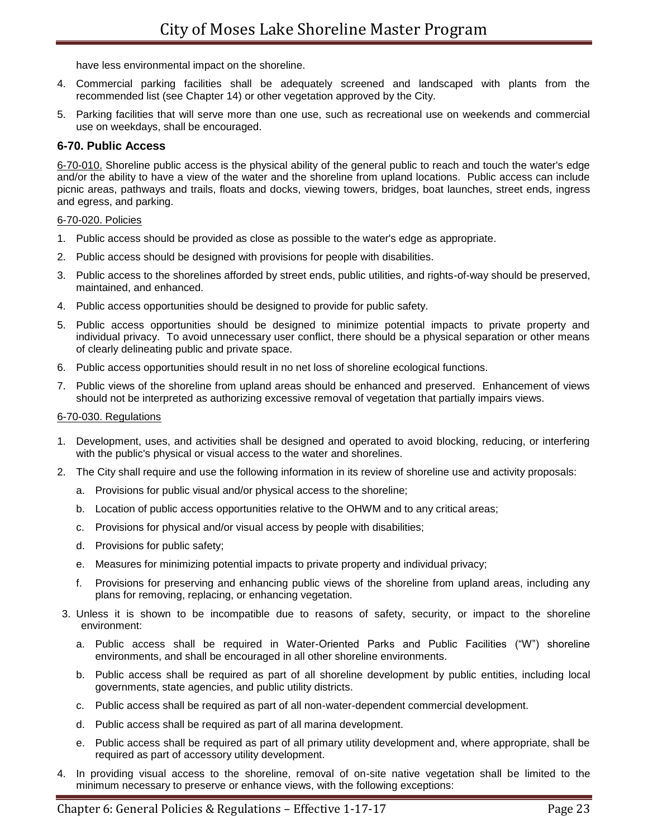have less environmental impact on the shoreline.

- 4. Commercial parking facilities shall be adequately screened and landscaped with plants from the recommended list (see Chapter 14) or other vegetation approved by the City.
- 5. Parking facilities that will serve more than one use, such as recreational use on weekends and commercial use on weekdays, shall be encouraged.

# **6-70. Public Access**

6-70-010. Shoreline public access is the physical ability of the general public to reach and touch the water's edge and/or the ability to have a view of the water and the shoreline from upland locations. Public access can include picnic areas, pathways and trails, floats and docks, viewing towers, bridges, boat launches, street ends, ingress and egress, and parking.

### 6-70-020. Policies

- 1. Public access should be provided as close as possible to the water's edge as appropriate.
- 2. Public access should be designed with provisions for people with disabilities.
- 3. Public access to the shorelines afforded by street ends, public utilities, and rights-of-way should be preserved, maintained, and enhanced.
- 4. Public access opportunities should be designed to provide for public safety.
- 5. Public access opportunities should be designed to minimize potential impacts to private property and individual privacy. To avoid unnecessary user conflict, there should be a physical separation or other means of clearly delineating public and private space.
- 6. Public access opportunities should result in no net loss of shoreline ecological functions.
- 7. Public views of the shoreline from upland areas should be enhanced and preserved. Enhancement of views should not be interpreted as authorizing excessive removal of vegetation that partially impairs views.

### 6-70-030. Regulations

- 1. Development, uses, and activities shall be designed and operated to avoid blocking, reducing, or interfering with the public's physical or visual access to the water and shorelines.
- 2. The City shall require and use the following information in its review of shoreline use and activity proposals:
	- a. Provisions for public visual and/or physical access to the shoreline;
	- b. Location of public access opportunities relative to the OHWM and to any critical areas;
	- c. Provisions for physical and/or visual access by people with disabilities;
	- d. Provisions for public safety;
	- e. Measures for minimizing potential impacts to private property and individual privacy;
	- f. Provisions for preserving and enhancing public views of the shoreline from upland areas, including any plans for removing, replacing, or enhancing vegetation.
- 3. Unless it is shown to be incompatible due to reasons of safety, security, or impact to the shoreline environment:
	- a. Public access shall be required in Water-Oriented Parks and Public Facilities ("W") shoreline environments, and shall be encouraged in all other shoreline environments.
	- b. Public access shall be required as part of all shoreline development by public entities, including local governments, state agencies, and public utility districts.
	- c. Public access shall be required as part of all non-water-dependent commercial development.
	- d. Public access shall be required as part of all marina development.
	- e. Public access shall be required as part of all primary utility development and, where appropriate, shall be required as part of accessory utility development.
- 4. In providing visual access to the shoreline, removal of on-site native vegetation shall be limited to the minimum necessary to preserve or enhance views, with the following exceptions: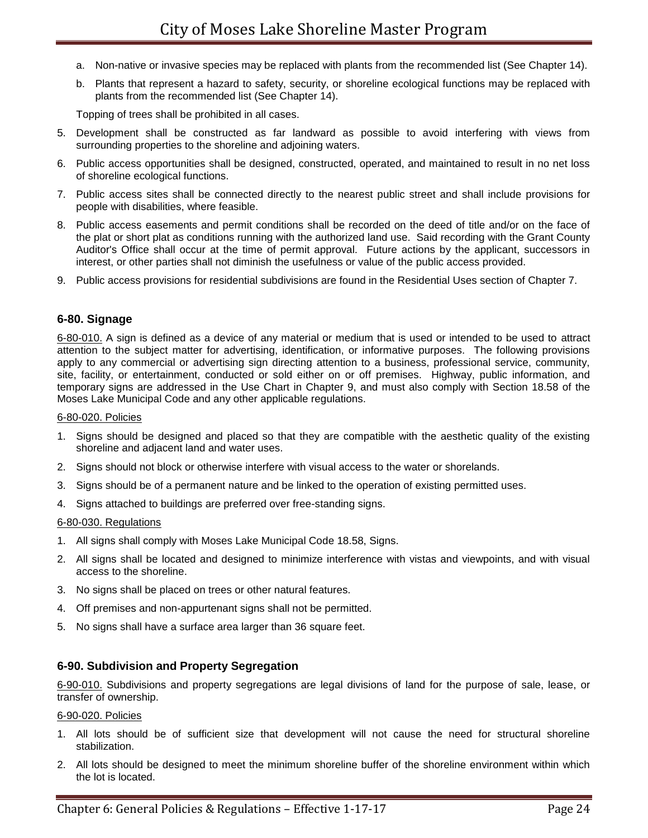- a. Non-native or invasive species may be replaced with plants from the recommended list (See Chapter 14).
- b. Plants that represent a hazard to safety, security, or shoreline ecological functions may be replaced with plants from the recommended list (See Chapter 14).

Topping of trees shall be prohibited in all cases.

- 5. Development shall be constructed as far landward as possible to avoid interfering with views from surrounding properties to the shoreline and adjoining waters.
- 6. Public access opportunities shall be designed, constructed, operated, and maintained to result in no net loss of shoreline ecological functions.
- 7. Public access sites shall be connected directly to the nearest public street and shall include provisions for people with disabilities, where feasible.
- 8. Public access easements and permit conditions shall be recorded on the deed of title and/or on the face of the plat or short plat as conditions running with the authorized land use. Said recording with the Grant County Auditor's Office shall occur at the time of permit approval. Future actions by the applicant, successors in interest, or other parties shall not diminish the usefulness or value of the public access provided.
- 9. Public access provisions for residential subdivisions are found in the Residential Uses section of Chapter 7.

# **6-80. Signage**

6-80-010. A sign is defined as a device of any material or medium that is used or intended to be used to attract attention to the subject matter for advertising, identification, or informative purposes. The following provisions apply to any commercial or advertising sign directing attention to a business, professional service, community, site, facility, or entertainment, conducted or sold either on or off premises. Highway, public information, and temporary signs are addressed in the Use Chart in Chapter 9, and must also comply with Section 18.58 of the Moses Lake Municipal Code and any other applicable regulations.

#### 6-80-020. Policies

- 1. Signs should be designed and placed so that they are compatible with the aesthetic quality of the existing shoreline and adjacent land and water uses.
- 2. Signs should not block or otherwise interfere with visual access to the water or shorelands.
- 3. Signs should be of a permanent nature and be linked to the operation of existing permitted uses.
- 4. Signs attached to buildings are preferred over free-standing signs.

#### 6-80-030. Regulations

- 1. All signs shall comply with Moses Lake Municipal Code 18.58, Signs.
- 2. All signs shall be located and designed to minimize interference with vistas and viewpoints, and with visual access to the shoreline.
- 3. No signs shall be placed on trees or other natural features.
- 4. Off premises and non-appurtenant signs shall not be permitted.
- 5. No signs shall have a surface area larger than 36 square feet.

# **6-90. Subdivision and Property Segregation**

6-90-010. Subdivisions and property segregations are legal divisions of land for the purpose of sale, lease, or transfer of ownership.

#### 6-90-020. Policies

- 1. All lots should be of sufficient size that development will not cause the need for structural shoreline stabilization.
- 2. All lots should be designed to meet the minimum shoreline buffer of the shoreline environment within which the lot is located.